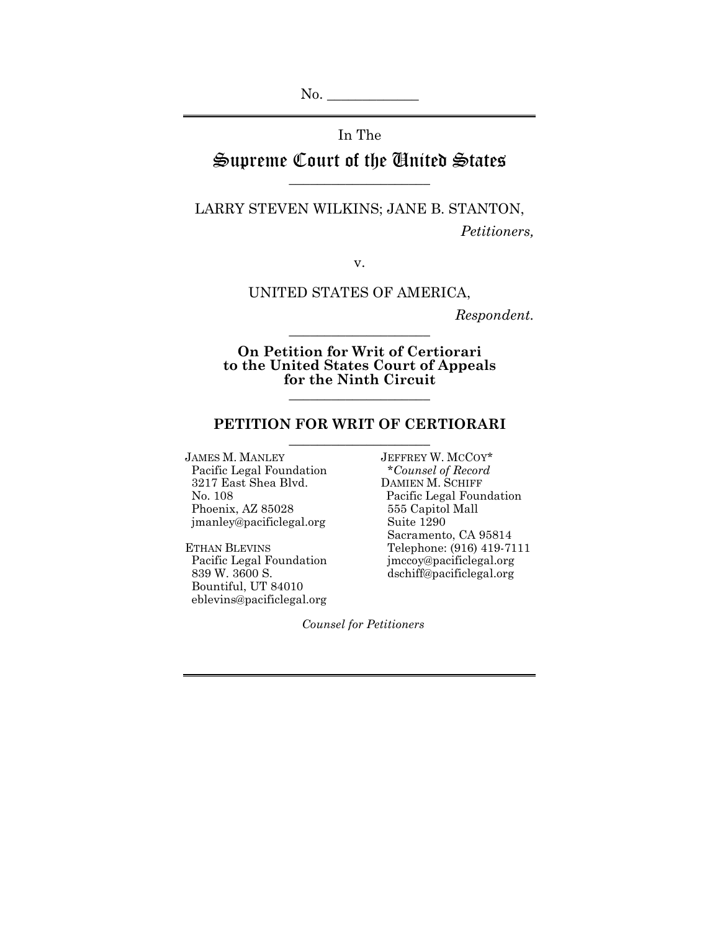No. \_\_\_\_\_\_\_\_\_\_\_\_\_

In The

Supreme Court of the United States \_\_\_\_\_\_\_\_\_\_\_\_\_\_\_\_\_\_\_\_

LARRY STEVEN WILKINS; JANE B. STANTON, *Petitioners,* 

v.

UNITED STATES OF AMERICA,

*Respondent.* 

**On Petition for Writ of Certiorari to the United States Court of Appeals for the Ninth Circuit** \_\_\_\_\_\_\_\_\_\_\_\_\_\_\_\_\_\_\_\_

\_\_\_\_\_\_\_\_\_\_\_\_\_\_\_\_\_\_\_\_

#### **PETITION FOR WRIT OF CERTIORARI**  \_\_\_\_\_\_\_\_\_\_\_\_\_\_\_\_\_\_\_\_

JAMES M. MANLEY JEFFREY W. MCCOY\* Pacific Legal Foundation \**Counsel of Record*<br>
3217 East Shea Blvd. DAMIEN M. SCHIFF 3217 East Shea Blvd. Phoenix, AZ 85028 555 Capitol Mall<br>
imanley@pacificlegal.org Suite 1290 jmanley@pacificlegal.org

Pacific Legal Foundation<br>839 W. 3600 S. Bountiful, UT 84010 eblevins@pacificlegal.org

 No. 108 Pacific Legal Foundation Sacramento, CA 95814 ETHAN BLEVINS<br>
Pacific Legal Foundation<br>
Telephone: (916) 419-7111<br>
pacific Legal Foundation<br>
imccoy@pacificlegal.org dschiff@pacificlegal.org

*Counsel for Petitioners*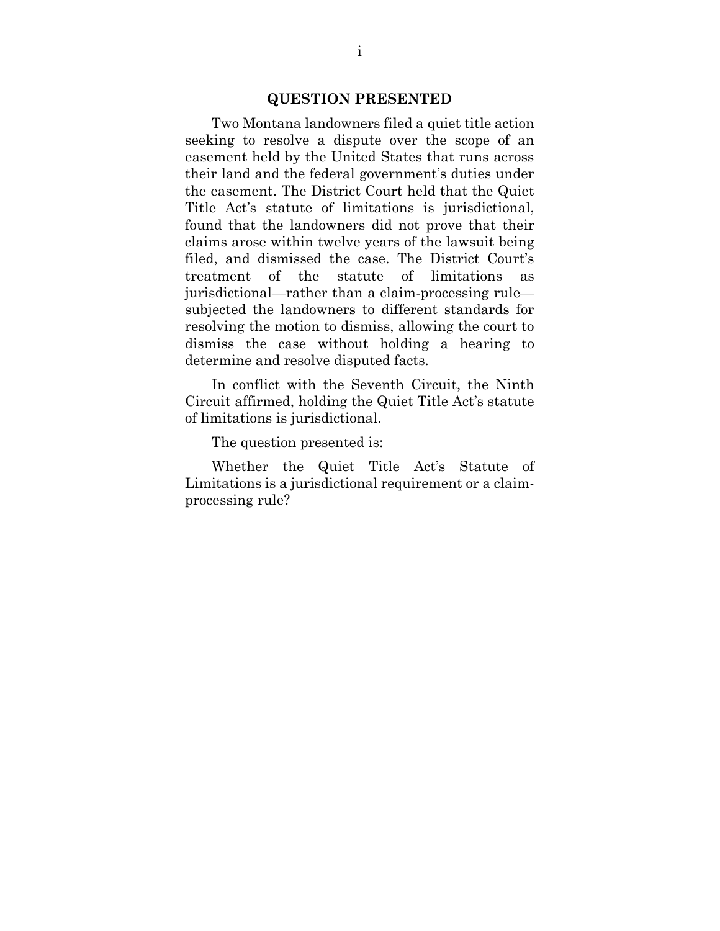#### **QUESTION PRESENTED**

 Two Montana landowners filed a quiet title action seeking to resolve a dispute over the scope of an easement held by the United States that runs across their land and the federal government's duties under the easement. The District Court held that the Quiet Title Act's statute of limitations is jurisdictional, found that the landowners did not prove that their claims arose within twelve years of the lawsuit being filed, and dismissed the case. The District Court's treatment of the statute of limitations as jurisdictional—rather than a claim-processing rule subjected the landowners to different standards for resolving the motion to dismiss, allowing the court to dismiss the case without holding a hearing to determine and resolve disputed facts.

 In conflict with the Seventh Circuit, the Ninth Circuit affirmed, holding the Quiet Title Act's statute of limitations is jurisdictional.

The question presented is:

 Whether the Quiet Title Act's Statute of Limitations is a jurisdictional requirement or a claimprocessing rule?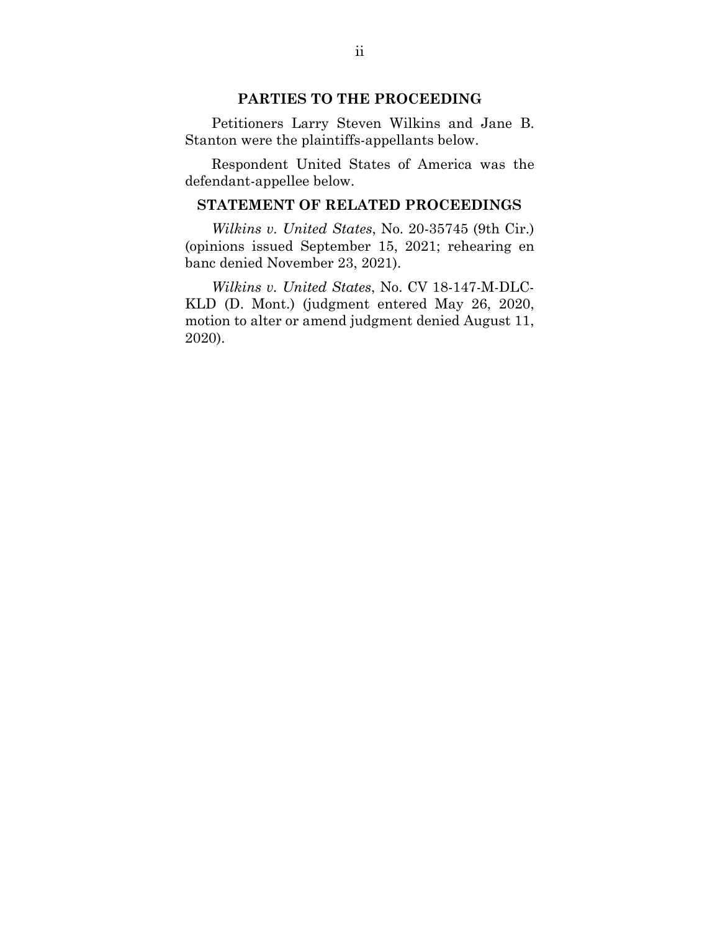### **PARTIES TO THE PROCEEDING**

Petitioners Larry Steven Wilkins and Jane B. Stanton were the plaintiffs-appellants below.

Respondent United States of America was the defendant-appellee below.

#### **STATEMENT OF RELATED PROCEEDINGS**

*Wilkins v. United States*, No. 20-35745 (9th Cir.) (opinions issued September 15, 2021; rehearing en banc denied November 23, 2021).

*Wilkins v. United States*, No. CV 18-147-M-DLC-KLD (D. Mont.) (judgment entered May 26, 2020, motion to alter or amend judgment denied August 11, 2020).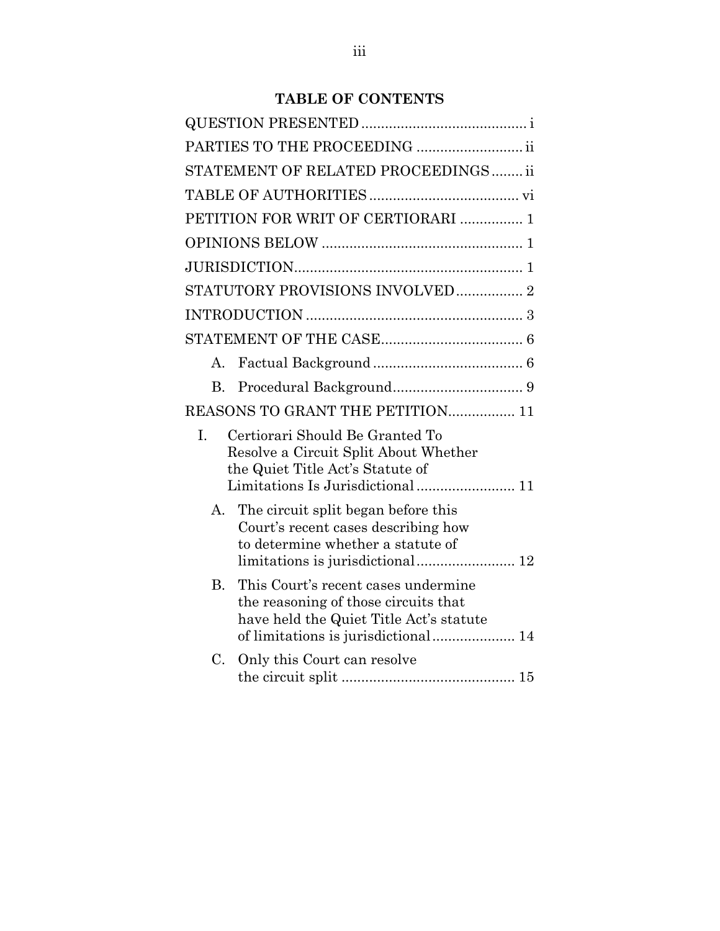## **TABLE OF CONTENTS**

|                | PARTIES TO THE PROCEEDING                                                                                                                           |
|----------------|-----------------------------------------------------------------------------------------------------------------------------------------------------|
|                | STATEMENT OF RELATED PROCEEDINGS ii                                                                                                                 |
|                |                                                                                                                                                     |
|                | PETITION FOR WRIT OF CERTIORARI  1                                                                                                                  |
|                |                                                                                                                                                     |
|                |                                                                                                                                                     |
|                | STATUTORY PROVISIONS INVOLVED 2                                                                                                                     |
|                |                                                                                                                                                     |
|                |                                                                                                                                                     |
| А.             |                                                                                                                                                     |
| B <sub>r</sub> |                                                                                                                                                     |
|                | REASONS TO GRANT THE PETITION 11                                                                                                                    |
| I.             | Certiorari Should Be Granted To<br>Resolve a Circuit Split About Whether<br>the Quiet Title Act's Statute of<br>Limitations Is Jurisdictional 11    |
| А.             | The circuit split began before this<br>Court's recent cases describing how<br>to determine whether a statute of<br>limitations is jurisdictional 12 |
| <b>B.</b>      | This Court's recent cases undermine<br>the reasoning of those circuits that<br>have held the Quiet Title Act's statute                              |
| C.             | Only this Court can resolve                                                                                                                         |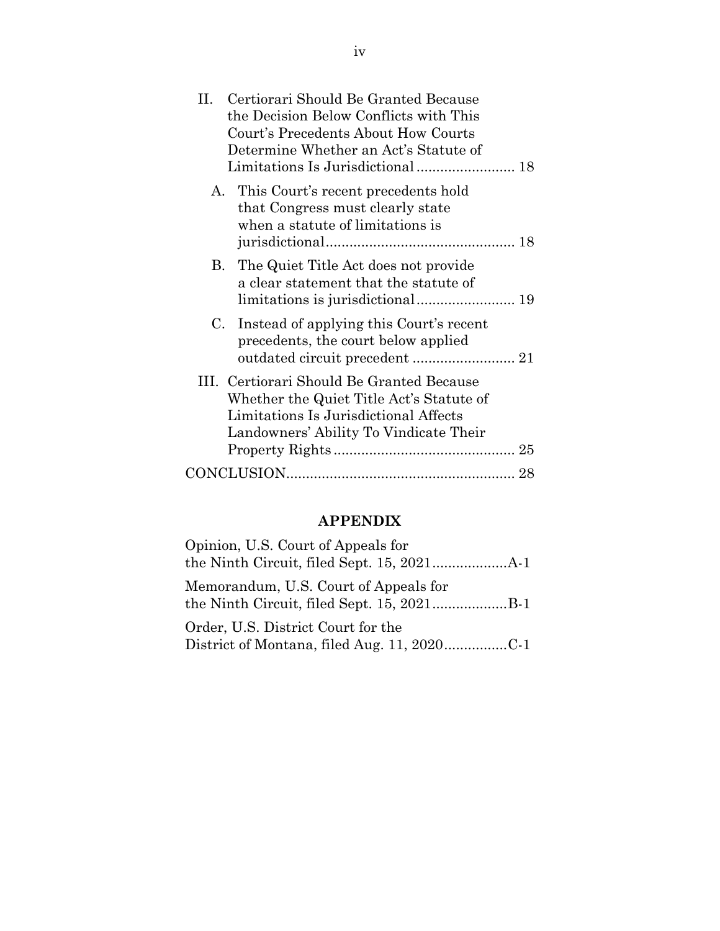| Certiorari Should Be Granted Because<br>H.<br>the Decision Below Conflicts with This<br>Court's Precedents About How Courts<br>Determine Whether an Act's Statute of     |  |
|--------------------------------------------------------------------------------------------------------------------------------------------------------------------------|--|
| A. This Court's recent precedents hold<br>that Congress must clearly state<br>when a statute of limitations is                                                           |  |
| B. The Quiet Title Act does not provide<br>a clear statement that the statute of                                                                                         |  |
| Instead of applying this Court's recent<br>C.<br>precedents, the court below applied                                                                                     |  |
| III. Certiorari Should Be Granted Because<br>Whether the Quiet Title Act's Statute of<br>Limitations Is Jurisdictional Affects<br>Landowners' Ability To Vindicate Their |  |
|                                                                                                                                                                          |  |

# **APPENDIX**

| Opinion, U.S. Court of Appeals for    |
|---------------------------------------|
| Memorandum, U.S. Court of Appeals for |
| Order, U.S. District Court for the    |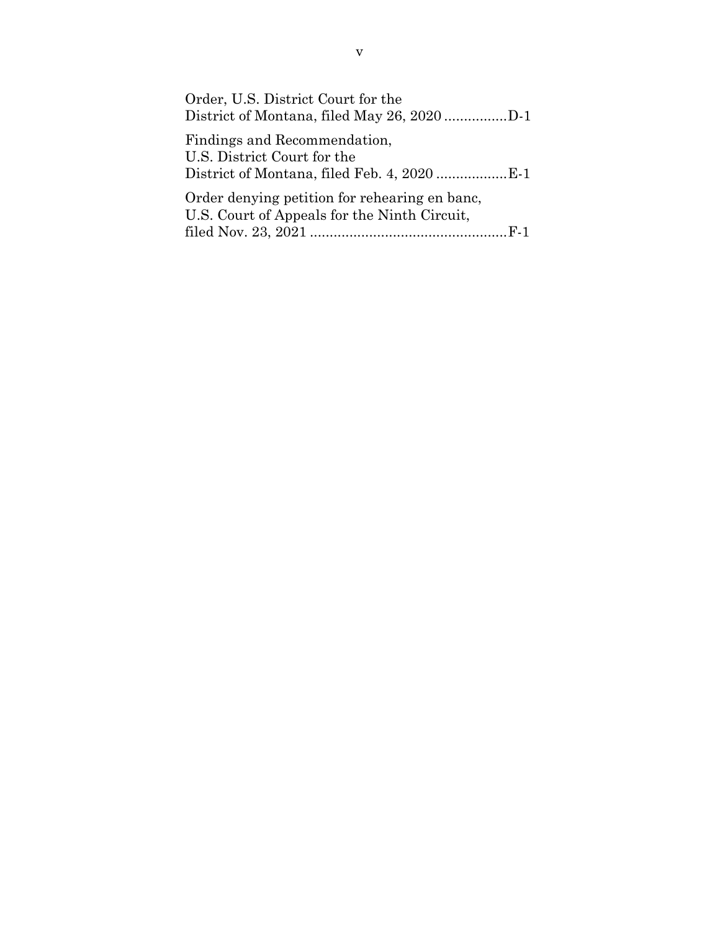| Order, U.S. District Court for the                          |  |
|-------------------------------------------------------------|--|
| Findings and Recommendation,<br>U.S. District Court for the |  |
| Order denying petition for rehearing en banc,               |  |
| U.S. Court of Appeals for the Ninth Circuit,                |  |
|                                                             |  |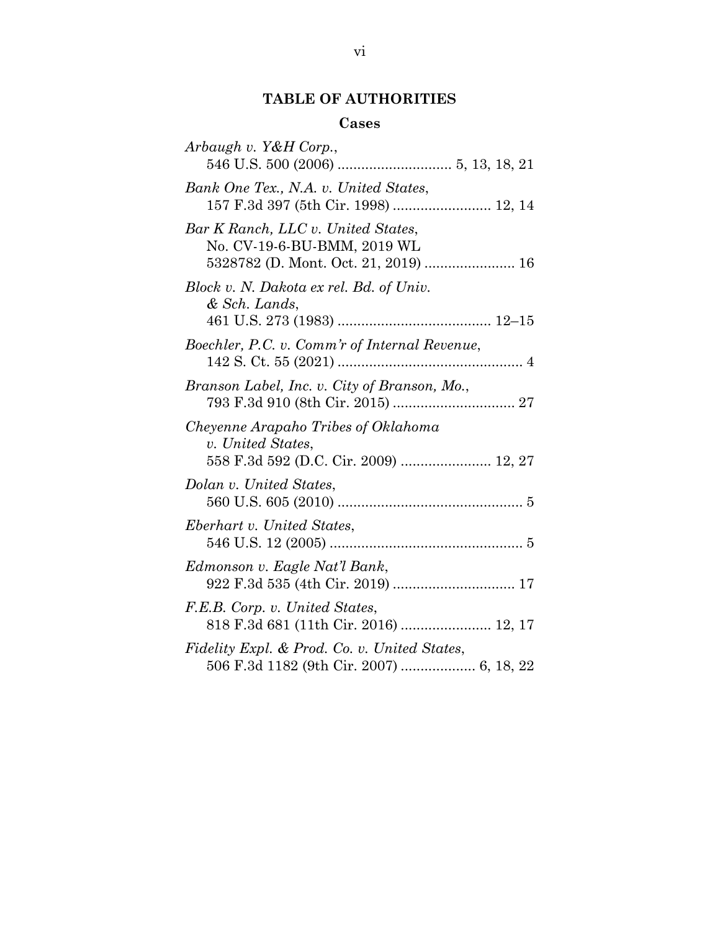# **TABLE OF AUTHORITIES**

## **Cases**

| Arbaugh v. Y&H Corp.,                                                                                     |
|-----------------------------------------------------------------------------------------------------------|
| Bank One Tex., N.A. v. United States,<br>157 F.3d 397 (5th Cir. 1998)  12, 14                             |
| Bar K Ranch, LLC v. United States,<br>No. CV-19-6-BU-BMM, 2019 WL<br>5328782 (D. Mont. Oct. 21, 2019)  16 |
| Block v. N. Dakota ex rel. Bd. of Univ.<br>& Sch. Lands,                                                  |
| Boechler, P.C. v. Comm'r of Internal Revenue,                                                             |
| Branson Label, Inc. v. City of Branson, Mo.,                                                              |
| Cheyenne Arapaho Tribes of Oklahoma<br>v. United States,<br>558 F.3d 592 (D.C. Cir. 2009)  12, 27         |
| Dolan v. United States,                                                                                   |
| Eberhart v. United States,                                                                                |
| Edmonson v. Eagle Nat'l Bank,                                                                             |
| F.E.B. Corp. v. United States,<br>818 F.3d 681 (11th Cir. 2016)  12, 17                                   |
| Fidelity Expl. & Prod. Co. v. United States,                                                              |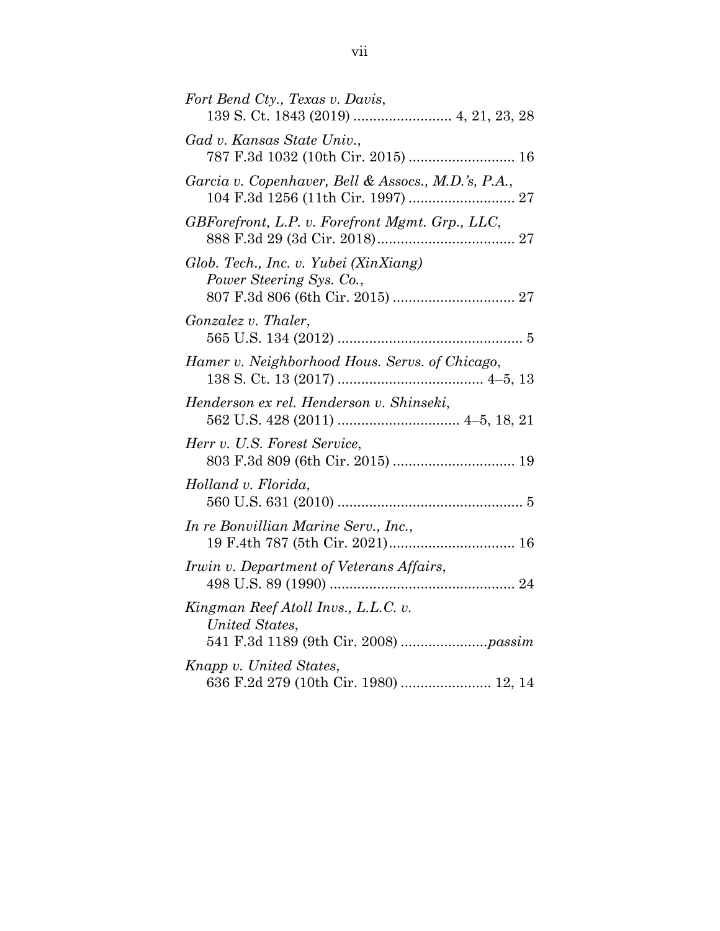| Fort Bend Cty., Texas v. Davis,                                   |
|-------------------------------------------------------------------|
| Gad v. Kansas State Univ.,<br>787 F.3d 1032 (10th Cir. 2015)  16  |
| Garcia v. Copenhaver, Bell & Assocs., M.D.'s, P.A.,               |
| GBForefront, L.P. v. Forefront Mgmt. Grp., LLC,                   |
| Glob. Tech., Inc. v. Yubei (XinXiang)<br>Power Steering Sys. Co., |
| Gonzalez v. Thaler,                                               |
| Hamer v. Neighborhood Hous. Servs. of Chicago,                    |
| Henderson ex rel. Henderson v. Shinseki,                          |
| Herr v. U.S. Forest Service,                                      |
| Holland v. Florida,                                               |
| In re Bonvillian Marine Serv., Inc.,                              |
| Irwin v. Department of Veterans Affairs,                          |
| Kingman Reef Atoll Invs., L.L.C. v.<br>United States,             |
| Knapp v. United States,<br>636 F.2d 279 (10th Cir. 1980)  12, 14  |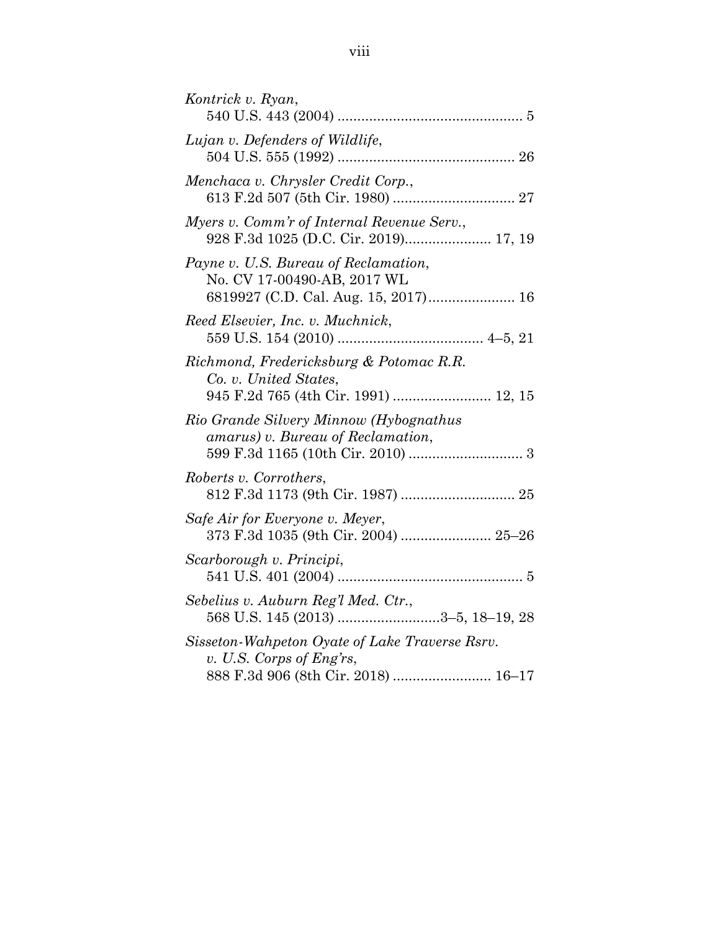| Kontrick v. Ryan,                                                                                                 |
|-------------------------------------------------------------------------------------------------------------------|
| Lujan v. Defenders of Wildlife,                                                                                   |
| Menchaca v. Chrysler Credit Corp.,                                                                                |
| Myers v. Comm'r of Internal Revenue Serv.,<br>928 F.3d 1025 (D.C. Cir. 2019) 17, 19                               |
| Payne v. U.S. Bureau of Reclamation,<br>No. CV 17-00490-AB, 2017 WL<br>6819927 (C.D. Cal. Aug. 15, 2017) 16       |
| Reed Elsevier, Inc. v. Muchnick,                                                                                  |
| Richmond, Fredericksburg & Potomac R.R.<br>Co. v. United States,<br>945 F.2d 765 (4th Cir. 1991)  12, 15          |
| Rio Grande Silvery Minnow (Hybognathus<br>amarus) v. Bureau of Reclamation,                                       |
| Roberts v. Corrothers,                                                                                            |
| Safe Air for Everyone v. Meyer,<br>373 F.3d 1035 (9th Cir. 2004)  25-26                                           |
| Scarborough v. Principi,                                                                                          |
| Sebelius v. Auburn Reg'l Med. Ctr.,<br>568 U.S. 145 (2013) 3-5, 18-19, 28                                         |
| Sisseton-Wahpeton Oyate of Lake Traverse Rsrv.<br>v. U.S. Corps of Eng'rs,<br>888 F.3d 906 (8th Cir. 2018)  16-17 |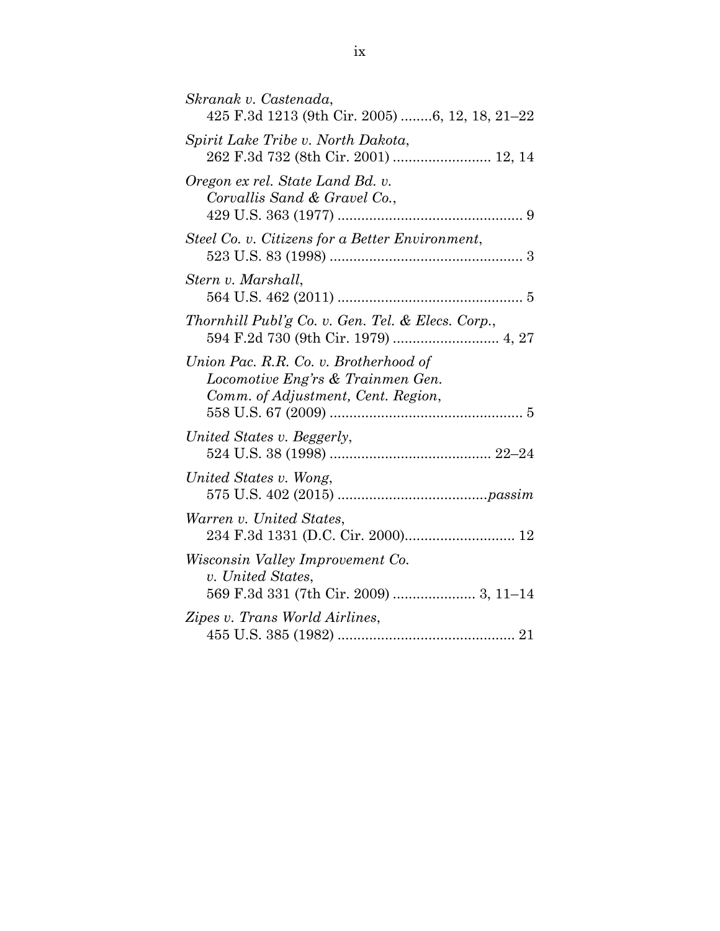| Skranak v. Castenada,<br>425 F.3d 1213 (9th Cir. 2005) 6, 12, 18, 21-22                                          |
|------------------------------------------------------------------------------------------------------------------|
| Spirit Lake Tribe v. North Dakota,<br>262 F.3d 732 (8th Cir. 2001)  12, 14                                       |
| Oregon ex rel. State Land Bd. v.<br>Corvallis Sand & Gravel Co.,                                                 |
| Steel Co. v. Citizens for a Better Environment,                                                                  |
| Stern v. Marshall,                                                                                               |
| Thornhill Publ'g Co. v. Gen. Tel. & Elecs. Corp.,                                                                |
| Union Pac. R.R. Co. v. Brotherhood of<br>Locomotive Eng'rs & Trainmen Gen.<br>Comm. of Adjustment, Cent. Region, |
| United States v. Beggerly,                                                                                       |
| United States v. Wong,                                                                                           |
| Warren v. United States,                                                                                         |
| Wisconsin Valley Improvement Co.<br>v. United States,<br>569 F.3d 331 (7th Cir. 2009)  3, 11-14                  |
| Zipes v. Trans World Airlines,                                                                                   |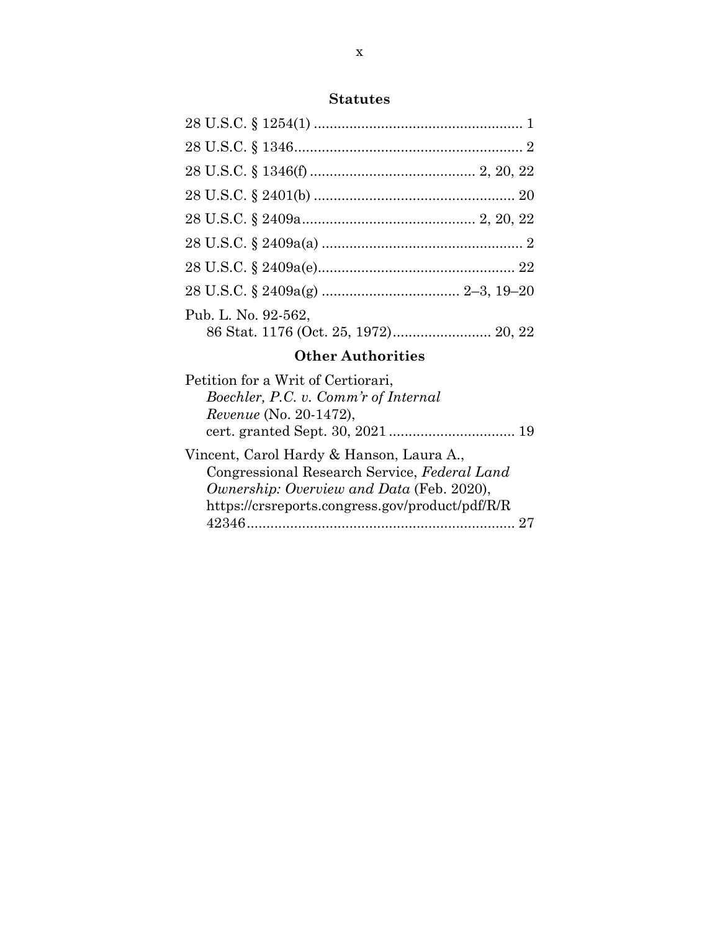## **Statutes**

| Pub. L. No. 92-562,                  |
|--------------------------------------|
| 86 Stat. 1176 (Oct. 25, 1972) 20, 22 |

## **Other Authorities**

| Petition for a Writ of Certiorari,              |  |
|-------------------------------------------------|--|
| Boechler, P.C. v. Comm'r of Internal            |  |
| Revenue (No. 20-1472),                          |  |
|                                                 |  |
| Vincent, Carol Hardy & Hanson, Laura A.,        |  |
| Congressional Research Service, Federal Land    |  |
| Ownership: Overview and Data (Feb. 2020),       |  |
| https://crsreports.congress.gov/product/pdf/R/R |  |
| 42346                                           |  |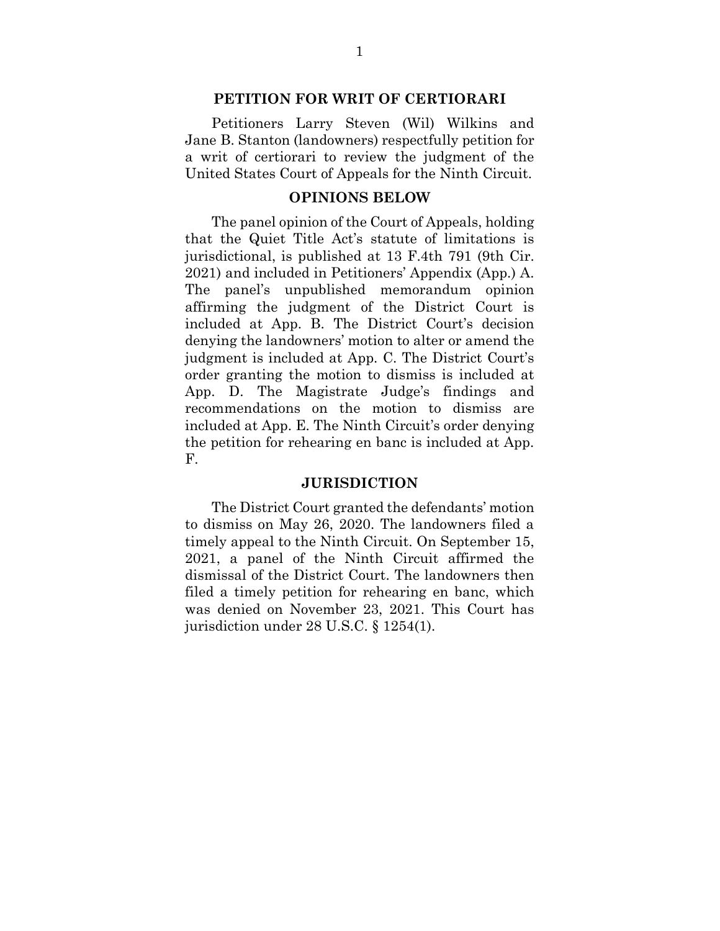#### **PETITION FOR WRIT OF CERTIORARI**

Petitioners Larry Steven (Wil) Wilkins and Jane B. Stanton (landowners) respectfully petition for a writ of certiorari to review the judgment of the United States Court of Appeals for the Ninth Circuit.

#### **OPINIONS BELOW**

The panel opinion of the Court of Appeals, holding that the Quiet Title Act's statute of limitations is jurisdictional, is published at 13 F.4th 791 (9th Cir. 2021) and included in Petitioners' Appendix (App.) A. The panel's unpublished memorandum opinion affirming the judgment of the District Court is included at App. B. The District Court's decision denying the landowners' motion to alter or amend the judgment is included at App. C. The District Court's order granting the motion to dismiss is included at App. D. The Magistrate Judge's findings and recommendations on the motion to dismiss are included at App. E. The Ninth Circuit's order denying the petition for rehearing en banc is included at App. F.

#### **JURISDICTION**

 The District Court granted the defendants' motion to dismiss on May 26, 2020. The landowners filed a timely appeal to the Ninth Circuit. On September 15, 2021, a panel of the Ninth Circuit affirmed the dismissal of the District Court. The landowners then filed a timely petition for rehearing en banc, which was denied on November 23, 2021. This Court has jurisdiction under 28 U.S.C. § 1254(1).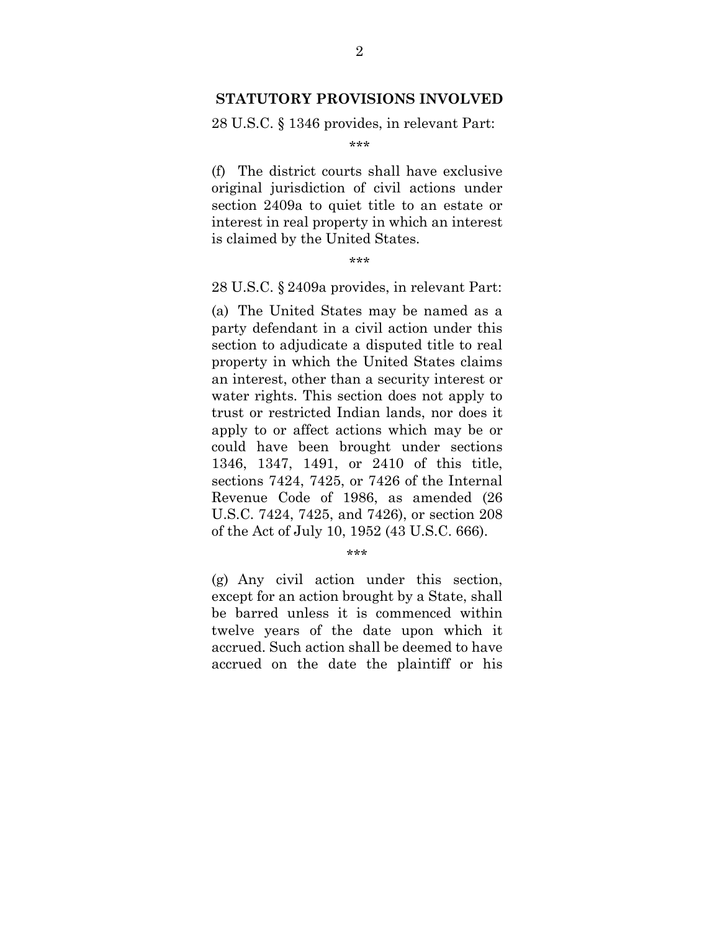#### **STATUTORY PROVISIONS INVOLVED**

28 U.S.C. § 1346 provides, in relevant Part:

\*\*\*

(f) The district courts shall have exclusive original jurisdiction of civil actions under section 2409a to quiet title to an estate or interest in real property in which an interest is claimed by the United States.

\*\*\*

28 U.S.C. § 2409a provides, in relevant Part:

(a) The United States may be named as a party defendant in a civil action under this section to adjudicate a disputed title to real property in which the United States claims an interest, other than a security interest or water rights. This section does not apply to trust or restricted Indian lands, nor does it apply to or affect actions which may be or could have been brought under sections 1346, 1347, 1491, or 2410 of this title, sections 7424, 7425, or 7426 of the Internal Revenue Code of 1986, as amended (26 U.S.C. 7424, 7425, and 7426), or section 208 of the Act of July 10, 1952 (43 U.S.C. 666).

\*\*\*

(g) Any civil action under this section, except for an action brought by a State, shall be barred unless it is commenced within twelve years of the date upon which it accrued. Such action shall be deemed to have accrued on the date the plaintiff or his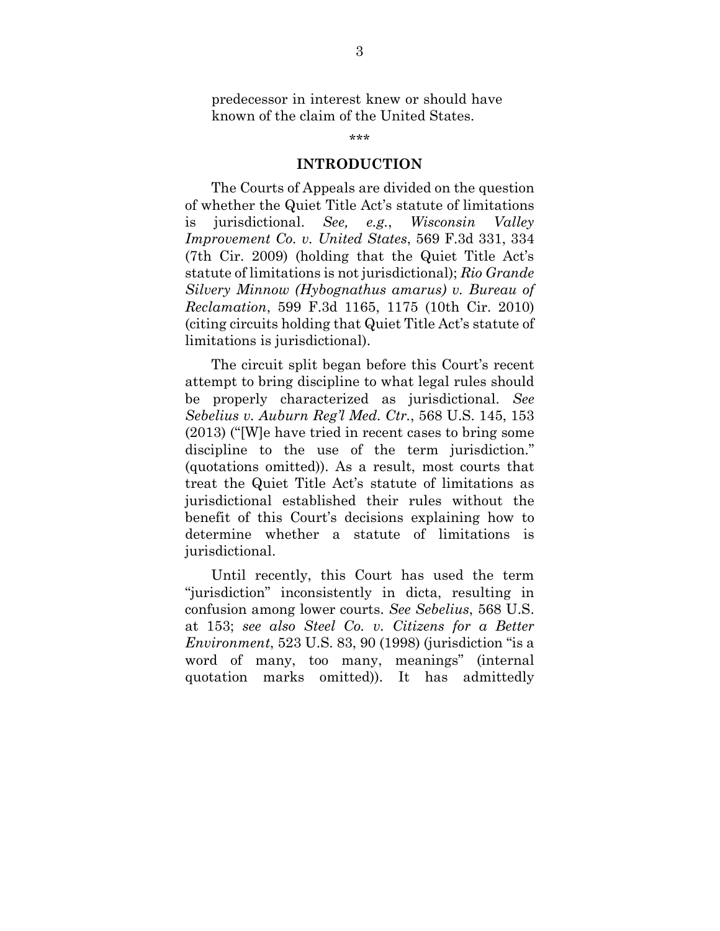predecessor in interest knew or should have known of the claim of the United States.

\*\*\*

#### **INTRODUCTION**

The Courts of Appeals are divided on the question of whether the Quiet Title Act's statute of limitations is jurisdictional. *See, e.g.*, *Wisconsin Valley Improvement Co. v. United States*, 569 F.3d 331, 334 (7th Cir. 2009) (holding that the Quiet Title Act's statute of limitations is not jurisdictional); *Rio Grande Silvery Minnow (Hybognathus amarus) v. Bureau of Reclamation*, 599 F.3d 1165, 1175 (10th Cir. 2010) (citing circuits holding that Quiet Title Act's statute of limitations is jurisdictional).

The circuit split began before this Court's recent attempt to bring discipline to what legal rules should be properly characterized as jurisdictional. *See Sebelius v. Auburn Reg'l Med. Ctr.*, 568 U.S. 145, 153 (2013) ("[W]e have tried in recent cases to bring some discipline to the use of the term jurisdiction." (quotations omitted)). As a result, most courts that treat the Quiet Title Act's statute of limitations as jurisdictional established their rules without the benefit of this Court's decisions explaining how to determine whether a statute of limitations is jurisdictional.

Until recently, this Court has used the term "jurisdiction" inconsistently in dicta, resulting in confusion among lower courts. *See Sebelius*, 568 U.S. at 153; *see also Steel Co. v. Citizens for a Better Environment*, 523 U.S. 83, 90 (1998) (jurisdiction "is a word of many, too many, meanings" (internal quotation marks omitted)). It has admittedly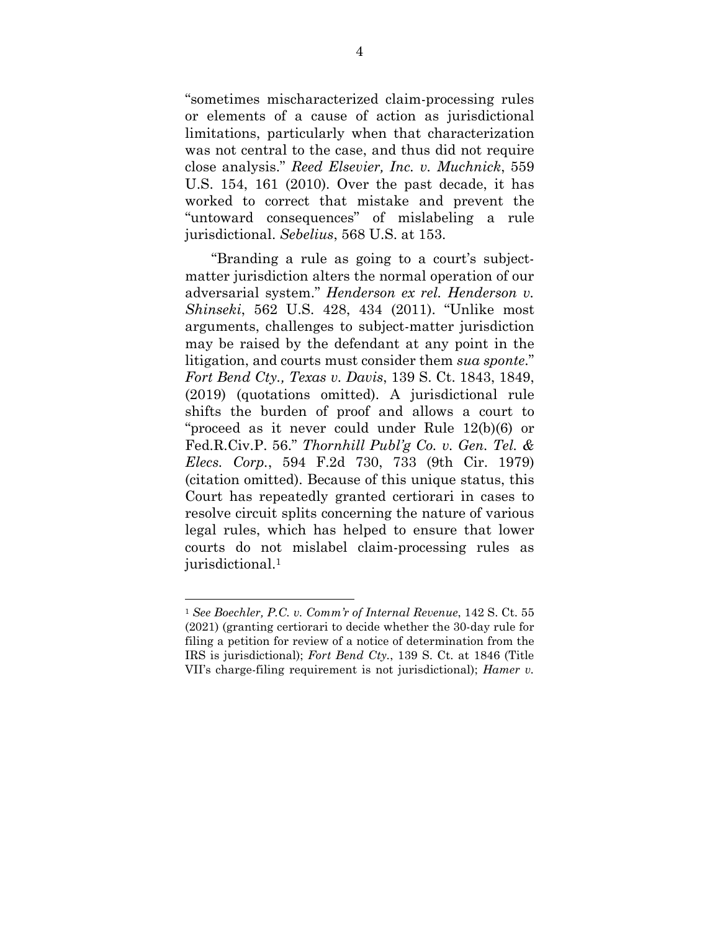"sometimes mischaracterized claim-processing rules or elements of a cause of action as jurisdictional limitations, particularly when that characterization was not central to the case, and thus did not require close analysis." *Reed Elsevier, Inc. v. Muchnick*, 559 U.S. 154, 161 (2010). Over the past decade, it has worked to correct that mistake and prevent the "untoward consequences" of mislabeling a rule jurisdictional. *Sebelius*, 568 U.S. at 153.

"Branding a rule as going to a court's subjectmatter jurisdiction alters the normal operation of our adversarial system." *Henderson ex rel. Henderson v. Shinseki*, 562 U.S. 428, 434 (2011). "Unlike most arguments, challenges to subject-matter jurisdiction may be raised by the defendant at any point in the litigation, and courts must consider them *sua sponte*." *Fort Bend Cty., Texas v. Davis*, 139 S. Ct. 1843, 1849, (2019) (quotations omitted). A jurisdictional rule shifts the burden of proof and allows a court to "proceed as it never could under Rule 12(b)(6) or Fed.R.Civ.P. 56." *Thornhill Publ'g Co. v. Gen. Tel. & Elecs. Corp.*, 594 F.2d 730, 733 (9th Cir. 1979) (citation omitted). Because of this unique status, this Court has repeatedly granted certiorari in cases to resolve circuit splits concerning the nature of various legal rules, which has helped to ensure that lower courts do not mislabel claim-processing rules as jurisdictional.<sup>1</sup>

<sup>1</sup> *See Boechler, P.C. v. Comm'r of Internal Revenue*, 142 S. Ct. 55 (2021) (granting certiorari to decide whether the 30-day rule for filing a petition for review of a notice of determination from the IRS is jurisdictional); *Fort Bend Cty.*, 139 S. Ct. at 1846 (Title VII's charge-filing requirement is not jurisdictional); *Hamer v.*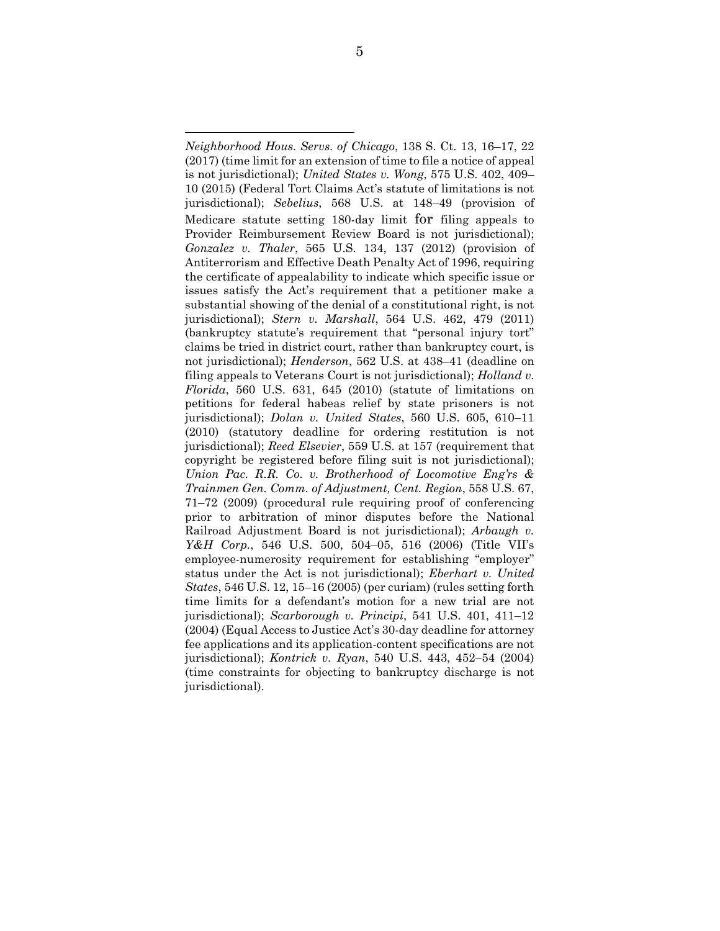*Neighborhood Hous. Servs. of Chicago*, 138 S. Ct. 13, 16–17, 22 (2017) (time limit for an extension of time to file a notice of appeal is not jurisdictional); *United States v. Wong*, 575 U.S. 402, 409– 10 (2015) (Federal Tort Claims Act's statute of limitations is not jurisdictional); *Sebelius*, 568 U.S. at 148–49 (provision of Medicare statute setting 180-day limit for filing appeals to Provider Reimbursement Review Board is not jurisdictional); *Gonzalez v. Thaler*, 565 U.S. 134, 137 (2012) (provision of Antiterrorism and Effective Death Penalty Act of 1996, requiring the certificate of appealability to indicate which specific issue or issues satisfy the Act's requirement that a petitioner make a substantial showing of the denial of a constitutional right, is not jurisdictional); *Stern v. Marshall*, 564 U.S. 462, 479 (2011) (bankruptcy statute's requirement that "personal injury tort" claims be tried in district court, rather than bankruptcy court, is not jurisdictional); *Henderson*, 562 U.S. at 438–41 (deadline on filing appeals to Veterans Court is not jurisdictional); *Holland v. Florida*, 560 U.S. 631, 645 (2010) (statute of limitations on petitions for federal habeas relief by state prisoners is not jurisdictional); *Dolan v. United States*, 560 U.S. 605, 610–11 (2010) (statutory deadline for ordering restitution is not jurisdictional); *Reed Elsevier*, 559 U.S. at 157 (requirement that copyright be registered before filing suit is not jurisdictional); *Union Pac. R.R. Co. v. Brotherhood of Locomotive Eng'rs & Trainmen Gen. Comm. of Adjustment, Cent. Region*, 558 U.S. 67, 71–72 (2009) (procedural rule requiring proof of conferencing prior to arbitration of minor disputes before the National Railroad Adjustment Board is not jurisdictional); *Arbaugh v. Y&H Corp.*, 546 U.S. 500, 504–05, 516 (2006) (Title VII's employee-numerosity requirement for establishing "employer" status under the Act is not jurisdictional); *Eberhart v. United States*, 546 U.S. 12, 15–16 (2005) (per curiam) (rules setting forth time limits for a defendant's motion for a new trial are not jurisdictional); *Scarborough v. Principi*, 541 U.S. 401, 411–12 (2004) (Equal Access to Justice Act's 30-day deadline for attorney fee applications and its application-content specifications are not jurisdictional); *Kontrick v. Ryan*, 540 U.S. 443, 452–54 (2004) (time constraints for objecting to bankruptcy discharge is not jurisdictional).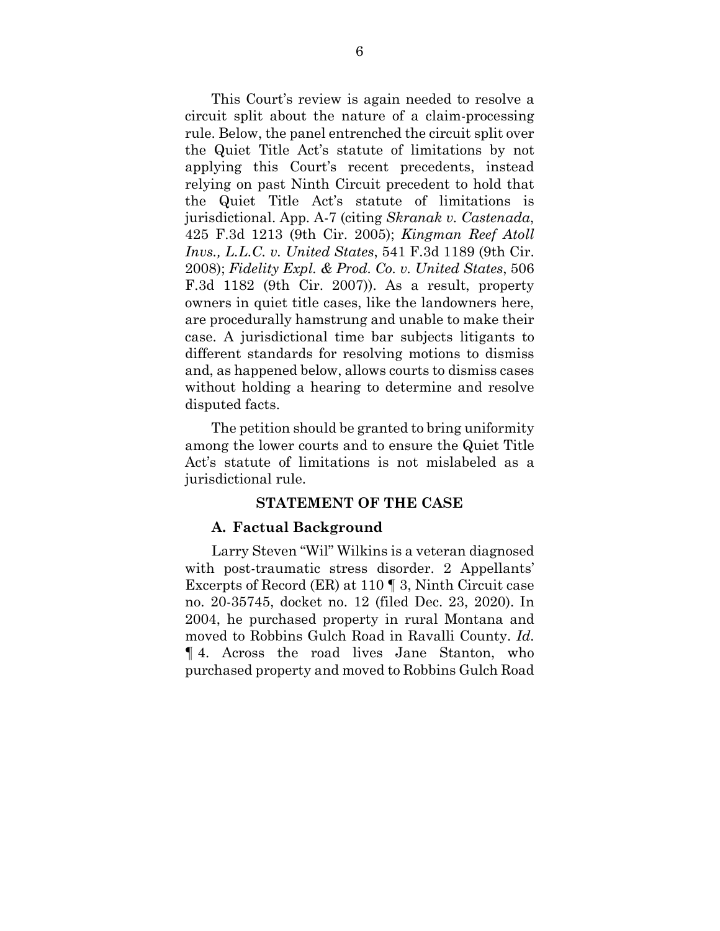This Court's review is again needed to resolve a circuit split about the nature of a claim-processing rule. Below, the panel entrenched the circuit split over the Quiet Title Act's statute of limitations by not applying this Court's recent precedents, instead relying on past Ninth Circuit precedent to hold that the Quiet Title Act's statute of limitations is jurisdictional. App. A-7 (citing *Skranak v. Castenada*, 425 F.3d 1213 (9th Cir. 2005); *Kingman Reef Atoll Invs., L.L.C. v. United States*, 541 F.3d 1189 (9th Cir. 2008); *Fidelity Expl. & Prod. Co. v. United States*, 506 F.3d 1182 (9th Cir. 2007)). As a result, property owners in quiet title cases, like the landowners here, are procedurally hamstrung and unable to make their case. A jurisdictional time bar subjects litigants to different standards for resolving motions to dismiss and, as happened below, allows courts to dismiss cases without holding a hearing to determine and resolve disputed facts.

The petition should be granted to bring uniformity among the lower courts and to ensure the Quiet Title Act's statute of limitations is not mislabeled as a jurisdictional rule.

#### **STATEMENT OF THE CASE**

#### **A. Factual Background**

Larry Steven "Wil" Wilkins is a veteran diagnosed with post-traumatic stress disorder. 2 Appellants' Excerpts of Record (ER) at 110 ¶ 3, Ninth Circuit case no. 20-35745, docket no. 12 (filed Dec. 23, 2020). In 2004, he purchased property in rural Montana and moved to Robbins Gulch Road in Ravalli County. *Id.*  ¶ 4. Across the road lives Jane Stanton, who purchased property and moved to Robbins Gulch Road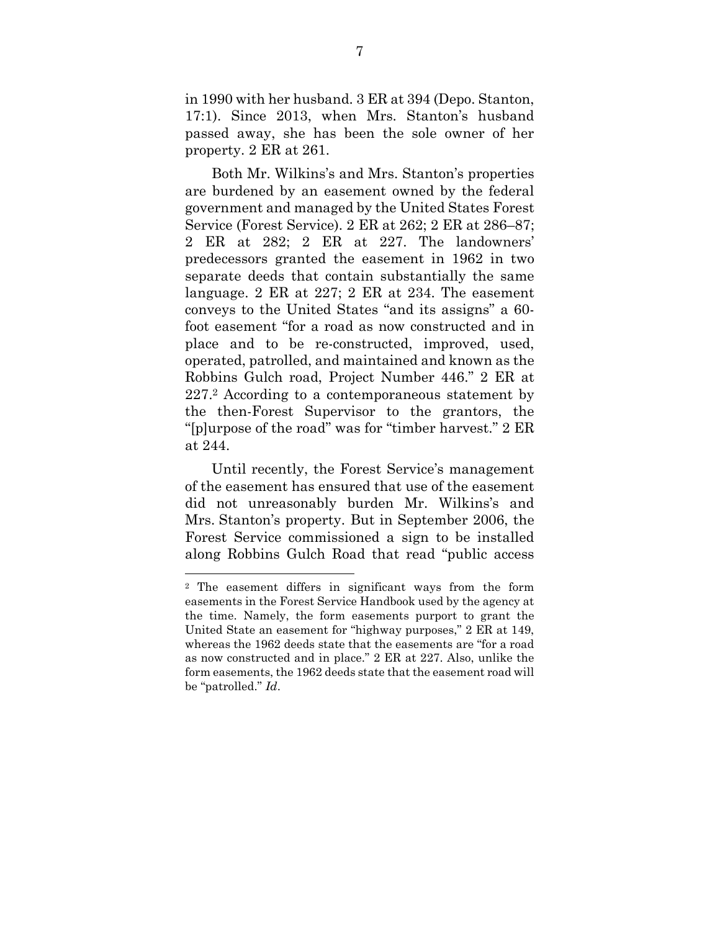in 1990 with her husband. 3 ER at 394 (Depo. Stanton, 17:1). Since 2013, when Mrs. Stanton's husband passed away, she has been the sole owner of her property. 2 ER at 261.

Both Mr. Wilkins's and Mrs. Stanton's properties are burdened by an easement owned by the federal government and managed by the United States Forest Service (Forest Service). 2 ER at 262; 2 ER at 286–87; 2 ER at 282; 2 ER at 227. The landowners' predecessors granted the easement in 1962 in two separate deeds that contain substantially the same language. 2 ER at 227; 2 ER at 234. The easement conveys to the United States "and its assigns" a 60 foot easement "for a road as now constructed and in place and to be re-constructed, improved, used, operated, patrolled, and maintained and known as the Robbins Gulch road, Project Number 446." 2 ER at 227.2 According to a contemporaneous statement by the then-Forest Supervisor to the grantors, the "[p]urpose of the road" was for "timber harvest." 2 ER at 244.

Until recently, the Forest Service's management of the easement has ensured that use of the easement did not unreasonably burden Mr. Wilkins's and Mrs. Stanton's property. But in September 2006, the Forest Service commissioned a sign to be installed along Robbins Gulch Road that read "public access

<sup>2</sup> The easement differs in significant ways from the form easements in the Forest Service Handbook used by the agency at the time. Namely, the form easements purport to grant the United State an easement for "highway purposes," 2 ER at 149, whereas the 1962 deeds state that the easements are "for a road as now constructed and in place." 2 ER at 227. Also, unlike the form easements, the 1962 deeds state that the easement road will be "patrolled." *Id*.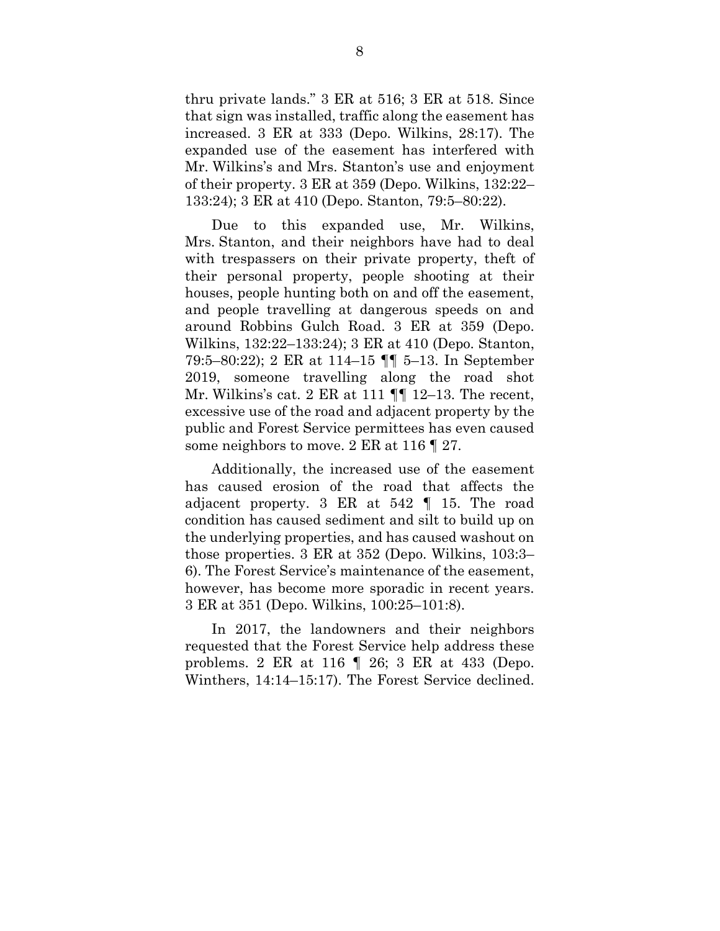thru private lands." 3 ER at 516; 3 ER at 518. Since that sign was installed, traffic along the easement has increased. 3 ER at 333 (Depo. Wilkins, 28:17). The expanded use of the easement has interfered with Mr. Wilkins's and Mrs. Stanton's use and enjoyment of their property. 3 ER at 359 (Depo. Wilkins, 132:22– 133:24); 3 ER at 410 (Depo. Stanton, 79:5–80:22).

Due to this expanded use, Mr. Wilkins, Mrs. Stanton, and their neighbors have had to deal with trespassers on their private property, theft of their personal property, people shooting at their houses, people hunting both on and off the easement, and people travelling at dangerous speeds on and around Robbins Gulch Road. 3 ER at 359 (Depo. Wilkins, 132:22–133:24); 3 ER at 410 (Depo. Stanton, 79:5–80:22); 2 ER at 114–15 ¶¶ 5–13. In September 2019, someone travelling along the road shot Mr. Wilkins's cat. 2 ER at 111  $\P$  12–13. The recent, excessive use of the road and adjacent property by the public and Forest Service permittees has even caused some neighbors to move. 2 ER at 116 ¶ 27.

Additionally, the increased use of the easement has caused erosion of the road that affects the adjacent property. 3 ER at 542 ¶ 15. The road condition has caused sediment and silt to build up on the underlying properties, and has caused washout on those properties. 3 ER at 352 (Depo. Wilkins, 103:3– 6). The Forest Service's maintenance of the easement, however, has become more sporadic in recent years. 3 ER at 351 (Depo. Wilkins, 100:25–101:8).

In 2017, the landowners and their neighbors requested that the Forest Service help address these problems. 2 ER at 116 ¶ 26; 3 ER at 433 (Depo. Winthers, 14:14–15:17). The Forest Service declined.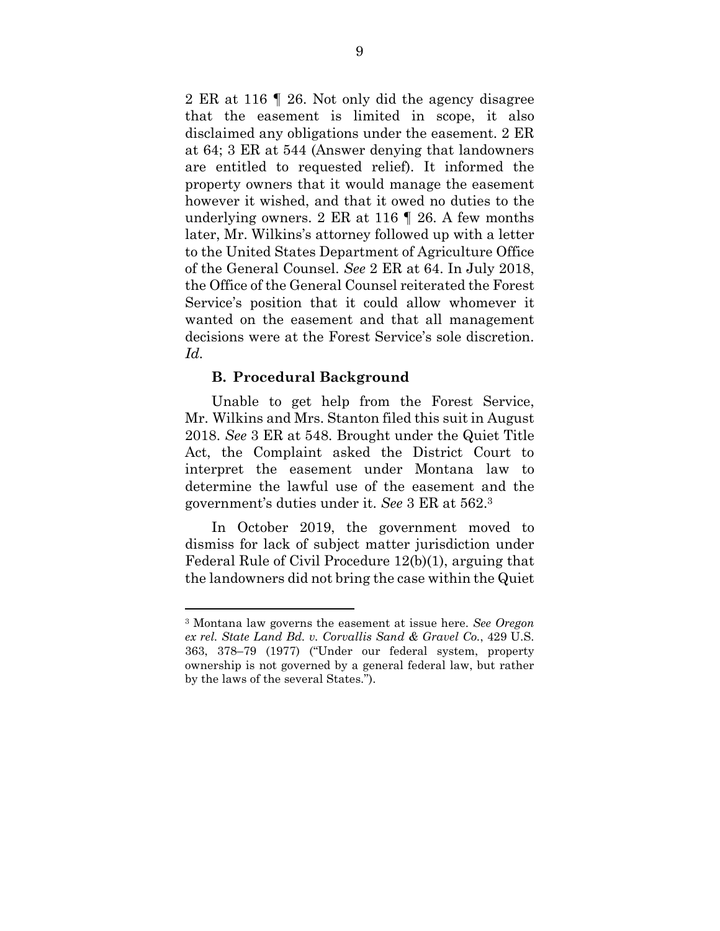2 ER at 116 ¶ 26. Not only did the agency disagree that the easement is limited in scope, it also disclaimed any obligations under the easement. 2 ER at 64; 3 ER at 544 (Answer denying that landowners are entitled to requested relief). It informed the property owners that it would manage the easement however it wished, and that it owed no duties to the underlying owners. 2 ER at 116 ¶ 26. A few months later, Mr. Wilkins's attorney followed up with a letter to the United States Department of Agriculture Office of the General Counsel. *See* 2 ER at 64. In July 2018, the Office of the General Counsel reiterated the Forest Service's position that it could allow whomever it wanted on the easement and that all management decisions were at the Forest Service's sole discretion. *Id.* 

#### **B. Procedural Background**

Unable to get help from the Forest Service, Mr. Wilkins and Mrs. Stanton filed this suit in August 2018. *See* 3 ER at 548. Brought under the Quiet Title Act, the Complaint asked the District Court to interpret the easement under Montana law to determine the lawful use of the easement and the government's duties under it. *See* 3 ER at 562.<sup>3</sup>

In October 2019, the government moved to dismiss for lack of subject matter jurisdiction under Federal Rule of Civil Procedure 12(b)(1), arguing that the landowners did not bring the case within the Quiet

<sup>3</sup> Montana law governs the easement at issue here. *See Oregon ex rel. State Land Bd. v. Corvallis Sand & Gravel Co.*, 429 U.S. 363, 378–79 (1977) ("Under our federal system, property ownership is not governed by a general federal law, but rather by the laws of the several States.").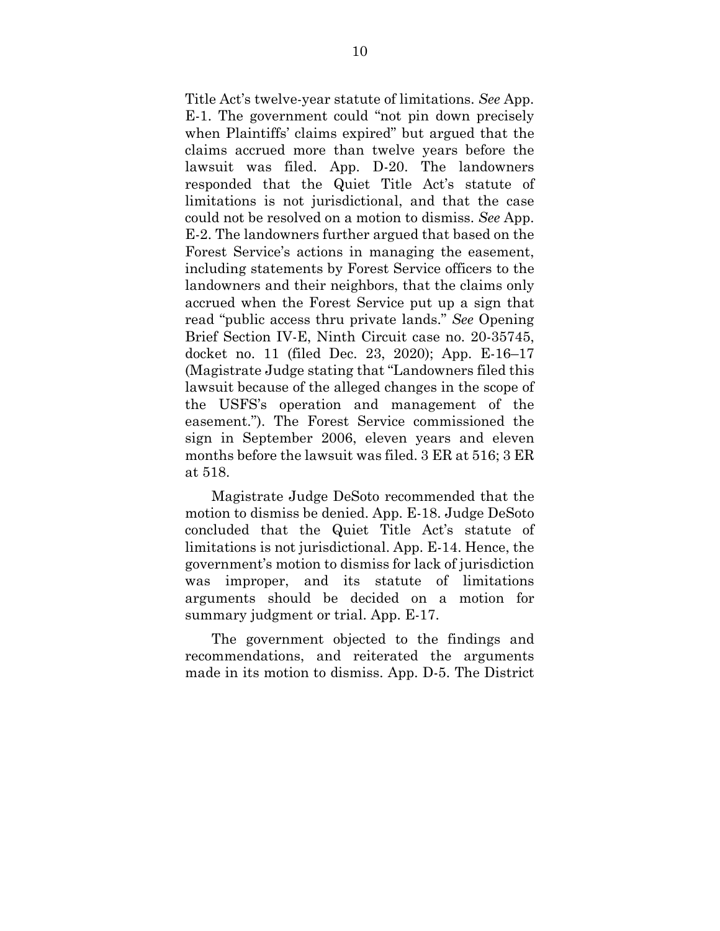Title Act's twelve-year statute of limitations. *See* App. E-1. The government could "not pin down precisely when Plaintiffs' claims expired" but argued that the claims accrued more than twelve years before the lawsuit was filed. App. D-20. The landowners responded that the Quiet Title Act's statute of limitations is not jurisdictional, and that the case could not be resolved on a motion to dismiss. *See* App. E-2. The landowners further argued that based on the Forest Service's actions in managing the easement, including statements by Forest Service officers to the landowners and their neighbors, that the claims only accrued when the Forest Service put up a sign that read "public access thru private lands." *See* Opening Brief Section IV-E, Ninth Circuit case no. 20-35745, docket no. 11 (filed Dec. 23, 2020); App. E-16–17 (Magistrate Judge stating that "Landowners filed this lawsuit because of the alleged changes in the scope of the USFS's operation and management of the easement."). The Forest Service commissioned the sign in September 2006, eleven years and eleven months before the lawsuit was filed. 3 ER at 516; 3 ER at 518.

Magistrate Judge DeSoto recommended that the motion to dismiss be denied. App. E-18. Judge DeSoto concluded that the Quiet Title Act's statute of limitations is not jurisdictional. App. E-14. Hence, the government's motion to dismiss for lack of jurisdiction was improper, and its statute of limitations arguments should be decided on a motion for summary judgment or trial. App. E-17.

The government objected to the findings and recommendations, and reiterated the arguments made in its motion to dismiss. App. D-5. The District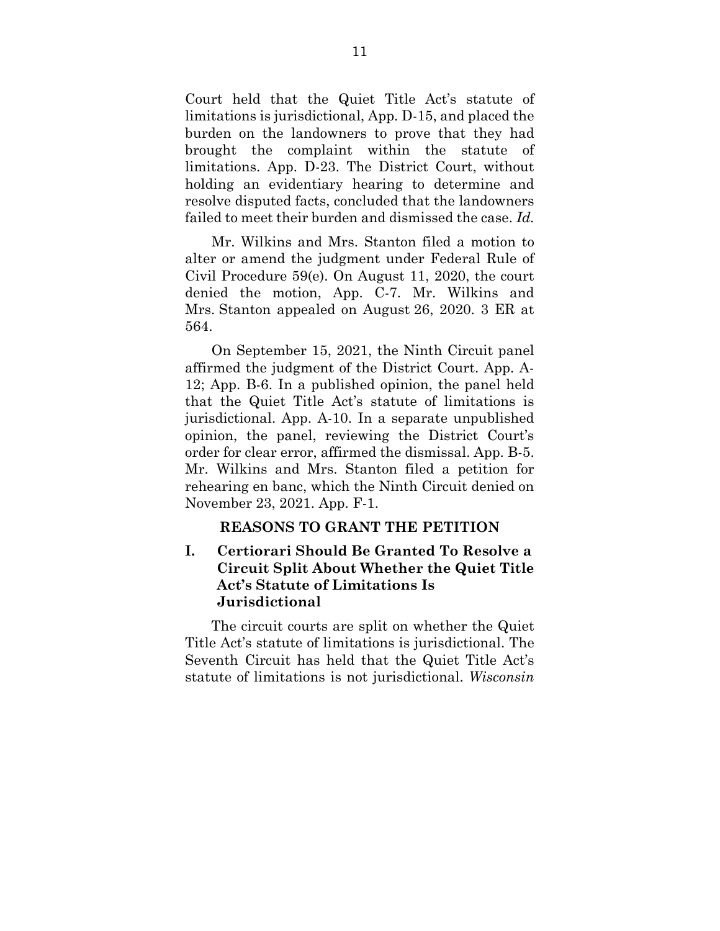Court held that the Quiet Title Act's statute of limitations is jurisdictional, App. D-15, and placed the burden on the landowners to prove that they had brought the complaint within the statute of limitations. App. D-23. The District Court, without holding an evidentiary hearing to determine and resolve disputed facts, concluded that the landowners failed to meet their burden and dismissed the case. *Id.*

Mr. Wilkins and Mrs. Stanton filed a motion to alter or amend the judgment under Federal Rule of Civil Procedure 59(e). On August 11, 2020, the court denied the motion, App. C-7. Mr. Wilkins and Mrs. Stanton appealed on August 26, 2020. 3 ER at 564.

On September 15, 2021, the Ninth Circuit panel affirmed the judgment of the District Court. App. A-12; App. B-6. In a published opinion, the panel held that the Quiet Title Act's statute of limitations is jurisdictional. App. A-10. In a separate unpublished opinion, the panel, reviewing the District Court's order for clear error, affirmed the dismissal. App. B-5. Mr. Wilkins and Mrs. Stanton filed a petition for rehearing en banc, which the Ninth Circuit denied on November 23, 2021. App. F-1.

#### **REASONS TO GRANT THE PETITION**

## **I. Certiorari Should Be Granted To Resolve a Circuit Split About Whether the Quiet Title Act's Statute of Limitations Is Jurisdictional**

The circuit courts are split on whether the Quiet Title Act's statute of limitations is jurisdictional. The Seventh Circuit has held that the Quiet Title Act's statute of limitations is not jurisdictional. *Wisconsin*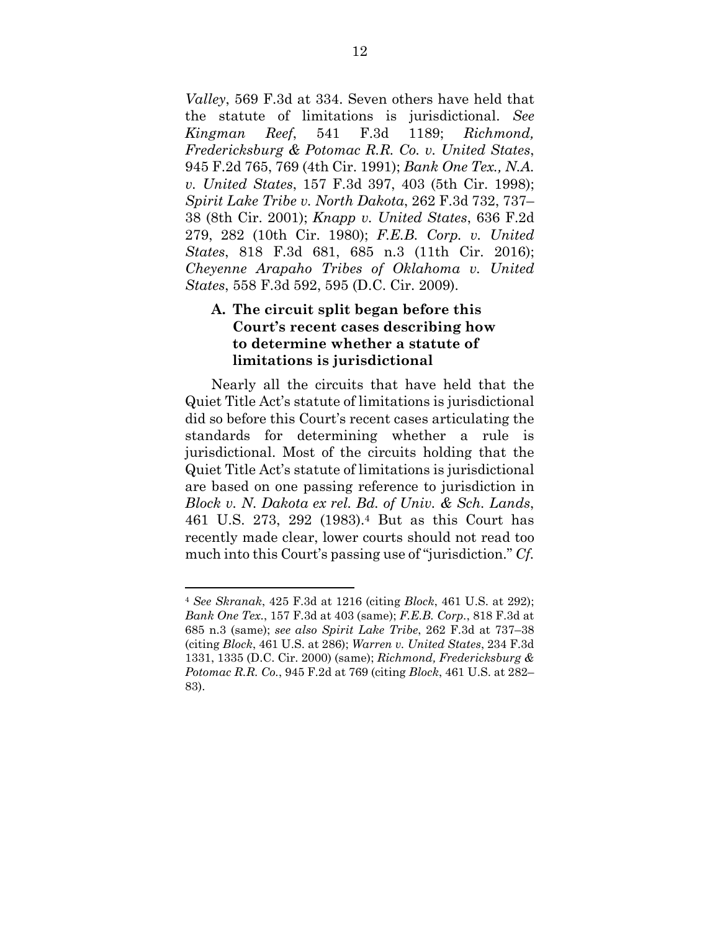*Valley*, 569 F.3d at 334. Seven others have held that the statute of limitations is jurisdictional. *See Kingman Reef*, 541 F.3d 1189; *Richmond, Fredericksburg & Potomac R.R. Co. v. United States*, 945 F.2d 765, 769 (4th Cir. 1991); *Bank One Tex., N.A. v. United States*, 157 F.3d 397, 403 (5th Cir. 1998); *Spirit Lake Tribe v. North Dakota*, 262 F.3d 732, 737– 38 (8th Cir. 2001); *Knapp v. United States*, 636 F.2d 279, 282 (10th Cir. 1980); *F.E.B. Corp. v. United States*, 818 F.3d 681, 685 n.3 (11th Cir. 2016); *Cheyenne Arapaho Tribes of Oklahoma v. United States*, 558 F.3d 592, 595 (D.C. Cir. 2009).

## **A. The circuit split began before this Court's recent cases describing how to determine whether a statute of limitations is jurisdictional**

Nearly all the circuits that have held that the Quiet Title Act's statute of limitations is jurisdictional did so before this Court's recent cases articulating the standards for determining whether a rule is jurisdictional. Most of the circuits holding that the Quiet Title Act's statute of limitations is jurisdictional are based on one passing reference to jurisdiction in *Block v. N. Dakota ex rel. Bd. of Univ. & Sch. Lands*, 461 U.S. 273, 292 (1983).4 But as this Court has recently made clear, lower courts should not read too much into this Court's passing use of "jurisdiction." *Cf.*

<sup>4</sup> *See Skranak*, 425 F.3d at 1216 (citing *Block*, 461 U.S. at 292); *Bank One Tex.*, 157 F.3d at 403 (same); *F.E.B. Corp.*, 818 F.3d at 685 n.3 (same); *see also Spirit Lake Tribe*, 262 F.3d at 737–38 (citing *Block*, 461 U.S. at 286); *Warren v. United States*, 234 F.3d 1331, 1335 (D.C. Cir. 2000) (same); *Richmond, Fredericksburg & Potomac R.R. Co.*, 945 F.2d at 769 (citing *Block*, 461 U.S. at 282– 83).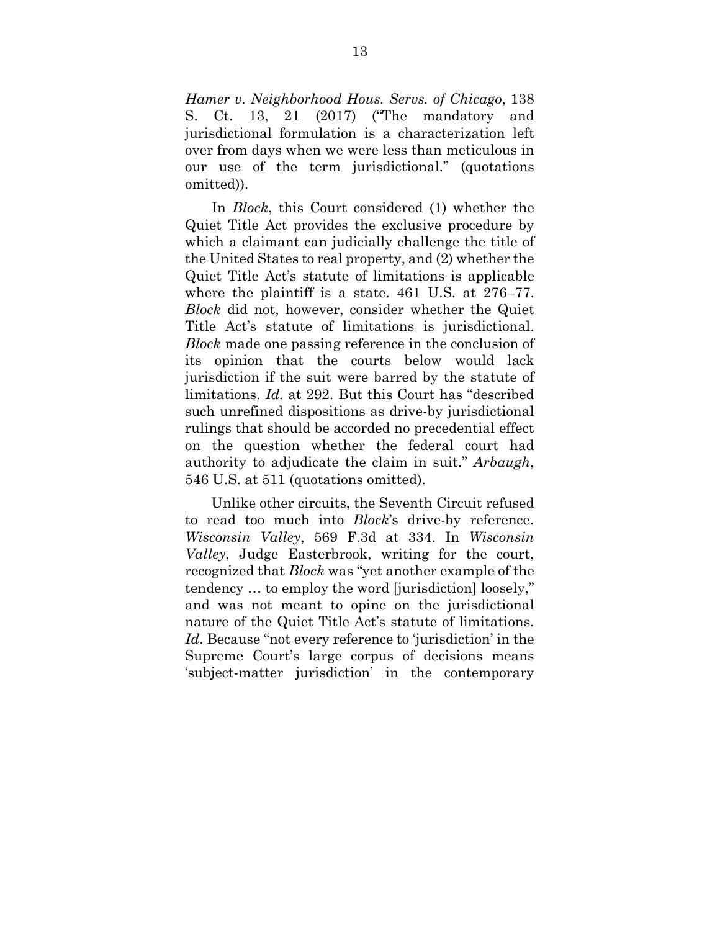*Hamer v. Neighborhood Hous. Servs. of Chicago*, 138 S. Ct. 13, 21 (2017) ("The mandatory and jurisdictional formulation is a characterization left over from days when we were less than meticulous in our use of the term jurisdictional." (quotations omitted)).

In *Block*, this Court considered (1) whether the Quiet Title Act provides the exclusive procedure by which a claimant can judicially challenge the title of the United States to real property, and (2) whether the Quiet Title Act's statute of limitations is applicable where the plaintiff is a state. 461 U.S. at 276–77. *Block* did not, however, consider whether the Quiet Title Act's statute of limitations is jurisdictional. *Block* made one passing reference in the conclusion of its opinion that the courts below would lack jurisdiction if the suit were barred by the statute of limitations. *Id.* at 292. But this Court has "described such unrefined dispositions as drive-by jurisdictional rulings that should be accorded no precedential effect on the question whether the federal court had authority to adjudicate the claim in suit." *Arbaugh*, 546 U.S. at 511 (quotations omitted).

Unlike other circuits, the Seventh Circuit refused to read too much into *Block*'s drive-by reference. *Wisconsin Valley*, 569 F.3d at 334. In *Wisconsin Valley*, Judge Easterbrook, writing for the court, recognized that *Block* was "yet another example of the tendency … to employ the word [jurisdiction] loosely," and was not meant to opine on the jurisdictional nature of the Quiet Title Act's statute of limitations. *Id*. Because "not every reference to 'jurisdiction' in the Supreme Court's large corpus of decisions means 'subject-matter jurisdiction' in the contemporary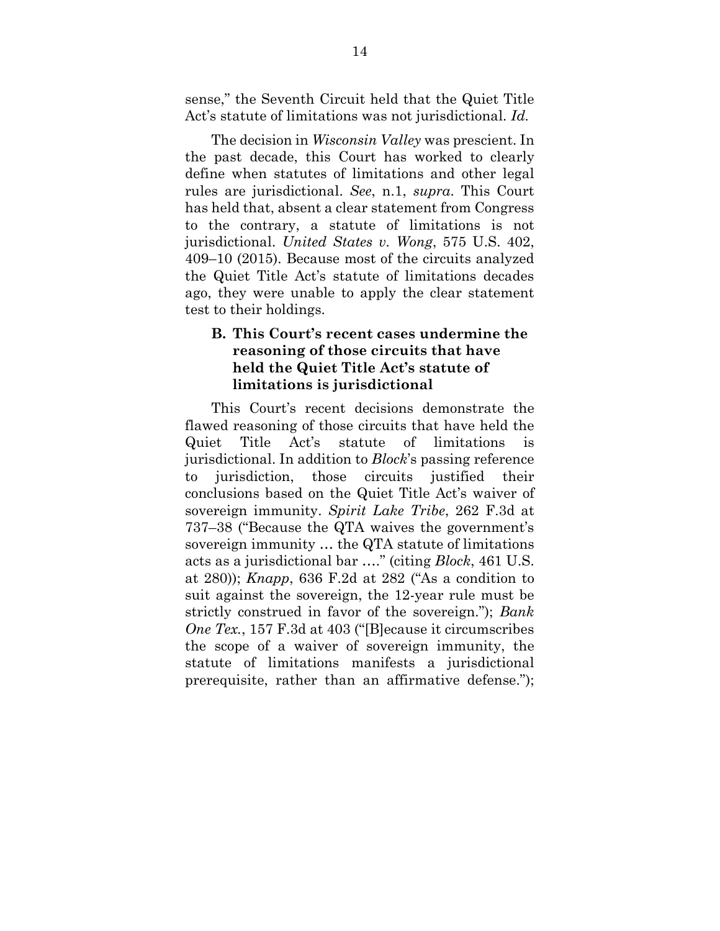sense," the Seventh Circuit held that the Quiet Title Act's statute of limitations was not jurisdictional. *Id.* 

The decision in *Wisconsin Valley* was prescient. In the past decade, this Court has worked to clearly define when statutes of limitations and other legal rules are jurisdictional. *See*, n.1, *supra*. This Court has held that, absent a clear statement from Congress to the contrary, a statute of limitations is not jurisdictional. *United States v. Wong*, 575 U.S. 402, 409–10 (2015). Because most of the circuits analyzed the Quiet Title Act's statute of limitations decades ago, they were unable to apply the clear statement test to their holdings.

## **B. This Court's recent cases undermine the reasoning of those circuits that have held the Quiet Title Act's statute of limitations is jurisdictional**

This Court's recent decisions demonstrate the flawed reasoning of those circuits that have held the Quiet Title Act's statute of limitations is jurisdictional. In addition to *Block*'s passing reference to jurisdiction, those circuits justified their conclusions based on the Quiet Title Act's waiver of sovereign immunity. *Spirit Lake Tribe*, 262 F.3d at 737–38 ("Because the QTA waives the government's sovereign immunity … the QTA statute of limitations acts as a jurisdictional bar …." (citing *Block*, 461 U.S. at 280)); *Knapp*, 636 F.2d at 282 ("As a condition to suit against the sovereign, the 12-year rule must be strictly construed in favor of the sovereign."); *Bank One Tex.*, 157 F.3d at 403 ("[B]ecause it circumscribes the scope of a waiver of sovereign immunity, the statute of limitations manifests a jurisdictional prerequisite, rather than an affirmative defense.");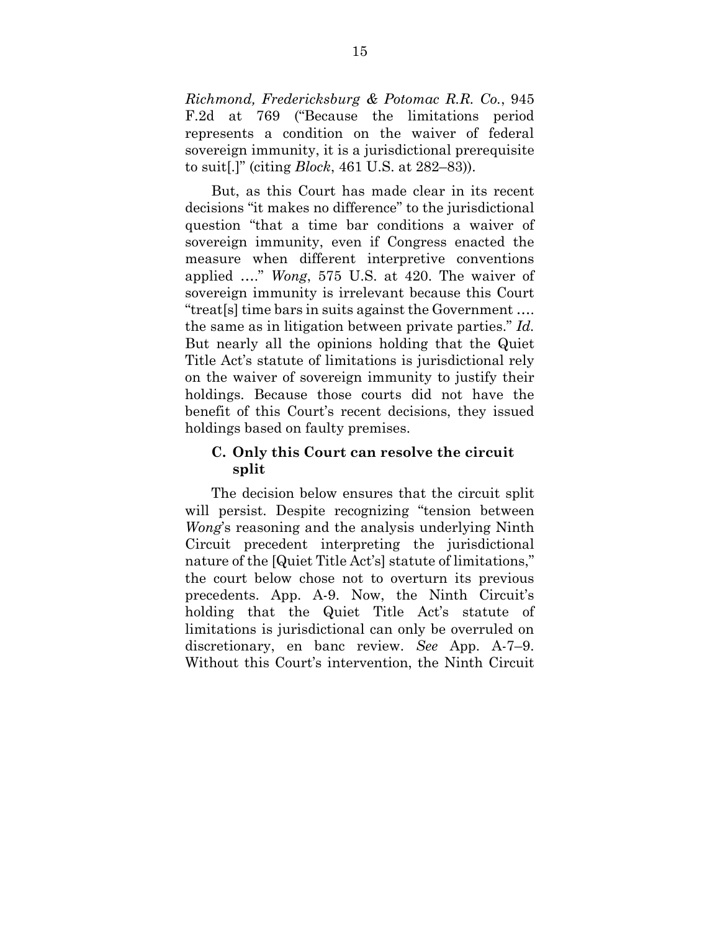*Richmond, Fredericksburg & Potomac R.R. Co.*, 945 F.2d at 769 ("Because the limitations period represents a condition on the waiver of federal sovereign immunity, it is a jurisdictional prerequisite to suit[.]" (citing *Block*, 461 U.S. at 282–83)).

But, as this Court has made clear in its recent decisions "it makes no difference" to the jurisdictional question "that a time bar conditions a waiver of sovereign immunity, even if Congress enacted the measure when different interpretive conventions applied …." *Wong*, 575 U.S. at 420. The waiver of sovereign immunity is irrelevant because this Court "treat[s] time bars in suits against the Government …. the same as in litigation between private parties." *Id.*  But nearly all the opinions holding that the Quiet Title Act's statute of limitations is jurisdictional rely on the waiver of sovereign immunity to justify their holdings. Because those courts did not have the benefit of this Court's recent decisions, they issued holdings based on faulty premises.

## **C. Only this Court can resolve the circuit split**

The decision below ensures that the circuit split will persist. Despite recognizing "tension between *Wong*'s reasoning and the analysis underlying Ninth Circuit precedent interpreting the jurisdictional nature of the [Quiet Title Act's] statute of limitations," the court below chose not to overturn its previous precedents. App. A-9. Now, the Ninth Circuit's holding that the Quiet Title Act's statute of limitations is jurisdictional can only be overruled on discretionary, en banc review. *See* App. A-7–9. Without this Court's intervention, the Ninth Circuit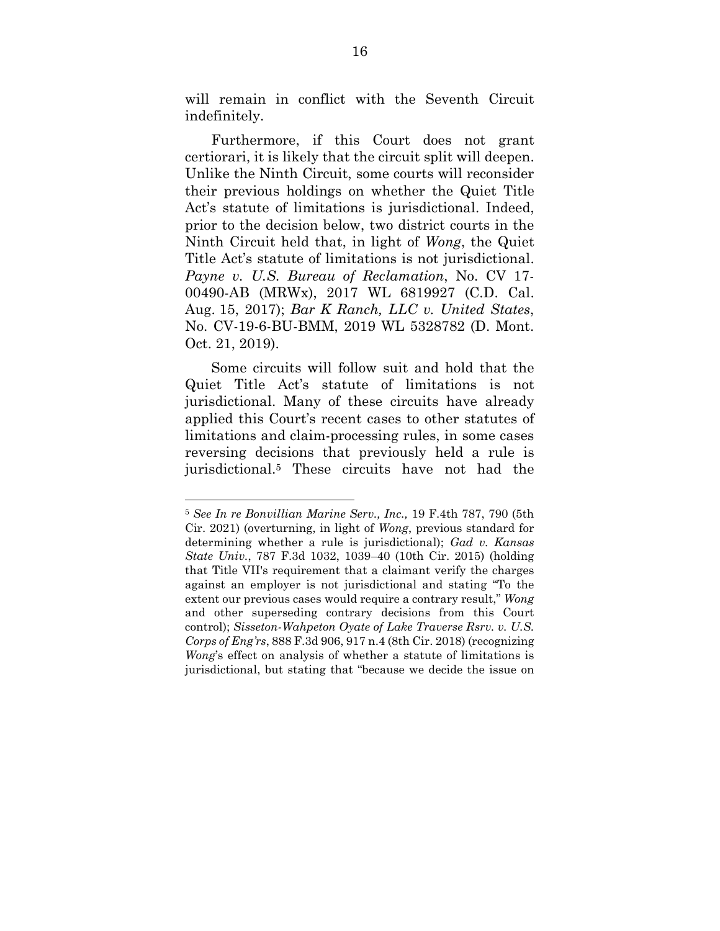will remain in conflict with the Seventh Circuit indefinitely.

Furthermore, if this Court does not grant certiorari, it is likely that the circuit split will deepen. Unlike the Ninth Circuit, some courts will reconsider their previous holdings on whether the Quiet Title Act's statute of limitations is jurisdictional. Indeed, prior to the decision below, two district courts in the Ninth Circuit held that, in light of *Wong*, the Quiet Title Act's statute of limitations is not jurisdictional. *Payne v. U.S. Bureau of Reclamation*, No. CV 17- 00490-AB (MRWx), 2017 WL 6819927 (C.D. Cal. Aug. 15, 2017); *Bar K Ranch, LLC v. United States*, No. CV-19-6-BU-BMM, 2019 WL 5328782 (D. Mont. Oct. 21, 2019).

Some circuits will follow suit and hold that the Quiet Title Act's statute of limitations is not jurisdictional. Many of these circuits have already applied this Court's recent cases to other statutes of limitations and claim-processing rules, in some cases reversing decisions that previously held a rule is jurisdictional.5 These circuits have not had the

<sup>5</sup> *See In re Bonvillian Marine Serv., Inc.,* 19 F.4th 787, 790 (5th Cir. 2021) (overturning, in light of *Wong*, previous standard for determining whether a rule is jurisdictional); *Gad v. Kansas State Univ.*, 787 F.3d 1032, 1039–40 (10th Cir. 2015) (holding that Title VII's requirement that a claimant verify the charges against an employer is not jurisdictional and stating "To the extent our previous cases would require a contrary result," *Wong*  and other superseding contrary decisions from this Court control); *Sisseton-Wahpeton Oyate of Lake Traverse Rsrv. v. U.S. Corps of Eng'rs*, 888 F.3d 906, 917 n.4 (8th Cir. 2018) (recognizing *Wong*'s effect on analysis of whether a statute of limitations is jurisdictional, but stating that "because we decide the issue on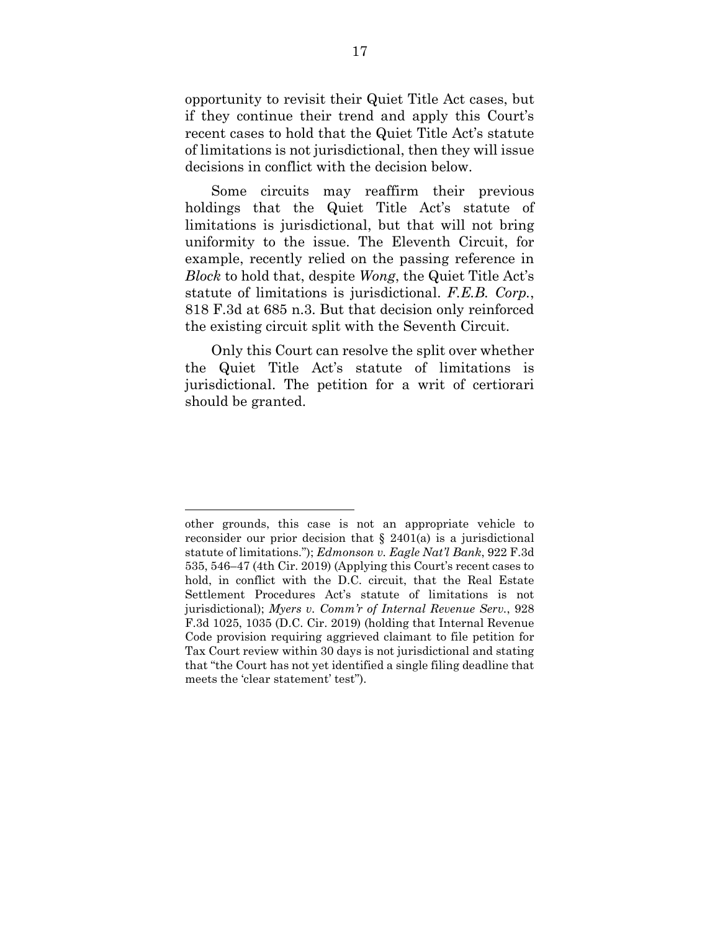opportunity to revisit their Quiet Title Act cases, but if they continue their trend and apply this Court's recent cases to hold that the Quiet Title Act's statute of limitations is not jurisdictional, then they will issue decisions in conflict with the decision below.

Some circuits may reaffirm their previous holdings that the Quiet Title Act's statute of limitations is jurisdictional, but that will not bring uniformity to the issue. The Eleventh Circuit, for example, recently relied on the passing reference in *Block* to hold that, despite *Wong*, the Quiet Title Act's statute of limitations is jurisdictional. *F.E.B. Corp.*, 818 F.3d at 685 n.3. But that decision only reinforced the existing circuit split with the Seventh Circuit.

Only this Court can resolve the split over whether the Quiet Title Act's statute of limitations is jurisdictional. The petition for a writ of certiorari should be granted.

other grounds, this case is not an appropriate vehicle to reconsider our prior decision that § 2401(a) is a jurisdictional statute of limitations."); *Edmonson v. Eagle Nat'l Bank*, 922 F.3d 535, 546–47 (4th Cir. 2019) (Applying this Court's recent cases to hold, in conflict with the D.C. circuit, that the Real Estate Settlement Procedures Act's statute of limitations is not jurisdictional); *Myers v. Comm'r of Internal Revenue Serv.*, 928 F.3d 1025, 1035 (D.C. Cir. 2019) (holding that Internal Revenue Code provision requiring aggrieved claimant to file petition for Tax Court review within 30 days is not jurisdictional and stating that "the Court has not yet identified a single filing deadline that meets the 'clear statement' test").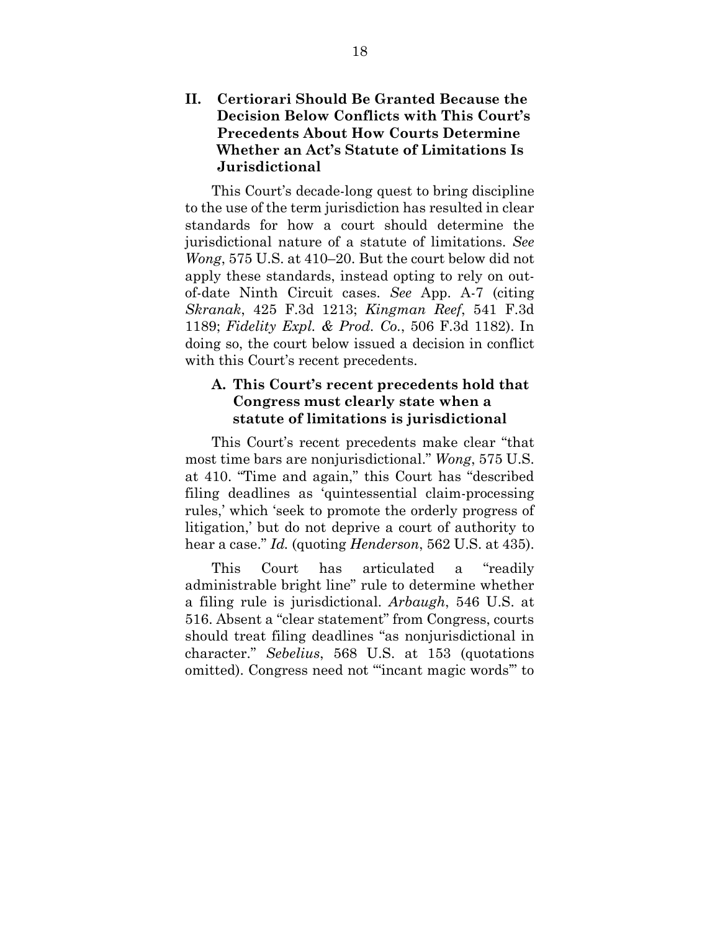## **II. Certiorari Should Be Granted Because the Decision Below Conflicts with This Court's Precedents About How Courts Determine Whether an Act's Statute of Limitations Is Jurisdictional**

This Court's decade-long quest to bring discipline to the use of the term jurisdiction has resulted in clear standards for how a court should determine the jurisdictional nature of a statute of limitations. *See Wong*, 575 U.S. at 410–20. But the court below did not apply these standards, instead opting to rely on outof-date Ninth Circuit cases. *See* App. A-7 (citing *Skranak*, 425 F.3d 1213; *Kingman Reef*, 541 F.3d 1189; *Fidelity Expl. & Prod. Co.*, 506 F.3d 1182). In doing so, the court below issued a decision in conflict with this Court's recent precedents.

## **A. This Court's recent precedents hold that Congress must clearly state when a statute of limitations is jurisdictional**

This Court's recent precedents make clear "that most time bars are nonjurisdictional." *Wong*, 575 U.S. at 410. "Time and again," this Court has "described filing deadlines as 'quintessential claim-processing rules,' which 'seek to promote the orderly progress of litigation,' but do not deprive a court of authority to hear a case." *Id.* (quoting *Henderson*, 562 U.S. at 435).

This Court has articulated a "readily administrable bright line" rule to determine whether a filing rule is jurisdictional. *Arbaugh*, 546 U.S. at 516. Absent a "clear statement" from Congress, courts should treat filing deadlines "as nonjurisdictional in character." *Sebelius*, 568 U.S. at 153 (quotations omitted). Congress need not "'incant magic words'" to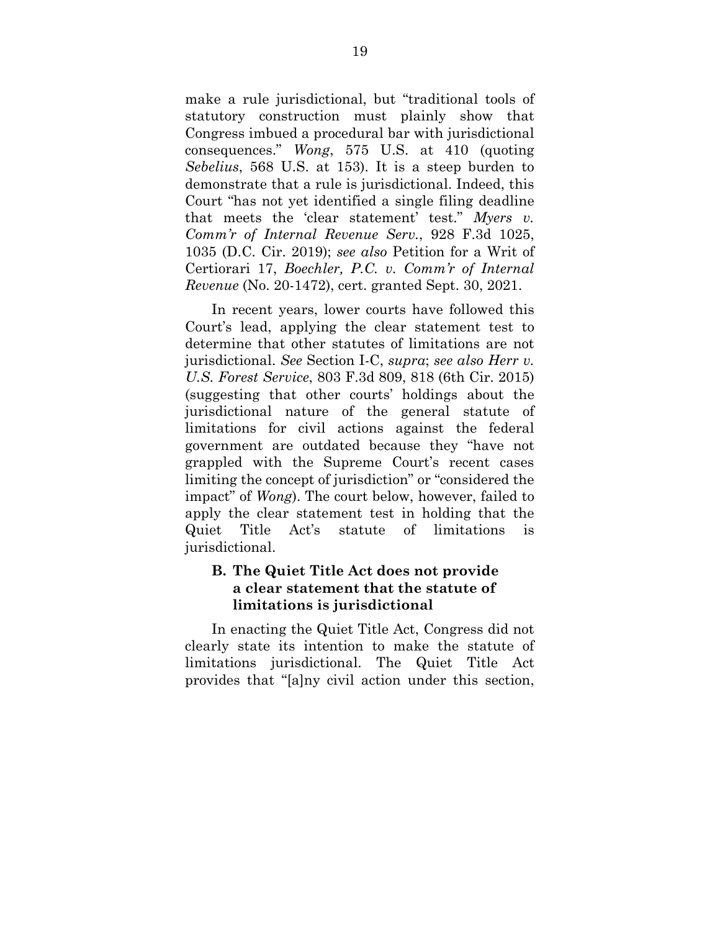make a rule jurisdictional, but "traditional tools of statutory construction must plainly show that Congress imbued a procedural bar with jurisdictional consequences." *Wong*, 575 U.S. at 410 (quoting *Sebelius*, 568 U.S. at 153). It is a steep burden to demonstrate that a rule is jurisdictional. Indeed, this Court "has not yet identified a single filing deadline that meets the 'clear statement' test." *Myers v. Comm'r of Internal Revenue Serv.*, 928 F.3d 1025, 1035 (D.C. Cir. 2019); *see also* Petition for a Writ of Certiorari 17, *Boechler, P.C. v. Comm'r of Internal Revenue* (No. 20-1472), cert. granted Sept. 30, 2021.

In recent years, lower courts have followed this Court's lead, applying the clear statement test to determine that other statutes of limitations are not jurisdictional. *See* Section I-C, *supra*; *see also Herr v. U.S. Forest Service*, 803 F.3d 809, 818 (6th Cir. 2015) (suggesting that other courts' holdings about the jurisdictional nature of the general statute of limitations for civil actions against the federal government are outdated because they "have not grappled with the Supreme Court's recent cases limiting the concept of jurisdiction" or "considered the impact" of *Wong*). The court below, however, failed to apply the clear statement test in holding that the Quiet Title Act's statute of limitations is jurisdictional.

## **B. The Quiet Title Act does not provide a clear statement that the statute of limitations is jurisdictional**

In enacting the Quiet Title Act, Congress did not clearly state its intention to make the statute of limitations jurisdictional. The Quiet Title Act provides that "[a]ny civil action under this section,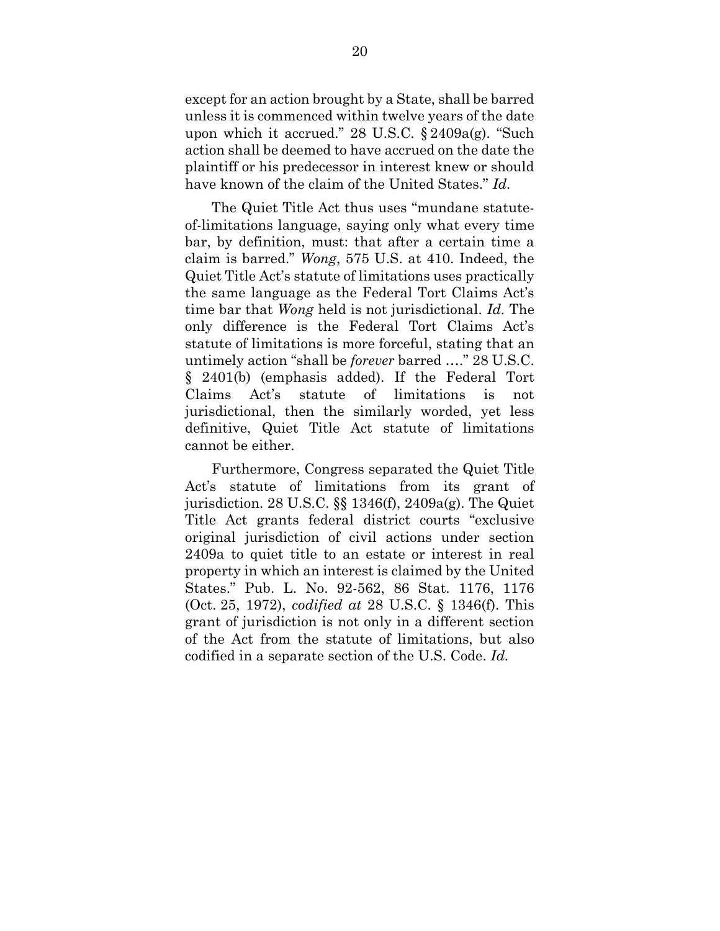except for an action brought by a State, shall be barred unless it is commenced within twelve years of the date upon which it accrued." 28 U.S.C. § 2409a(g). "Such action shall be deemed to have accrued on the date the plaintiff or his predecessor in interest knew or should have known of the claim of the United States." *Id.*

The Quiet Title Act thus uses "mundane statuteof-limitations language, saying only what every time bar, by definition, must: that after a certain time a claim is barred." *Wong*, 575 U.S. at 410. Indeed, the Quiet Title Act's statute of limitations uses practically the same language as the Federal Tort Claims Act's time bar that *Wong* held is not jurisdictional. *Id.* The only difference is the Federal Tort Claims Act's statute of limitations is more forceful, stating that an untimely action "shall be *forever* barred …." 28 U.S.C. § 2401(b) (emphasis added). If the Federal Tort Claims Act's statute of limitations is not jurisdictional, then the similarly worded, yet less definitive, Quiet Title Act statute of limitations cannot be either.

Furthermore, Congress separated the Quiet Title Act's statute of limitations from its grant of jurisdiction. 28 U.S.C. §§ 1346(f), 2409a(g). The Quiet Title Act grants federal district courts "exclusive original jurisdiction of civil actions under section 2409a to quiet title to an estate or interest in real property in which an interest is claimed by the United States." Pub. L. No. 92-562, 86 Stat. 1176, 1176 (Oct. 25, 1972), *codified at* 28 U.S.C. § 1346(f). This grant of jurisdiction is not only in a different section of the Act from the statute of limitations, but also codified in a separate section of the U.S. Code. *Id.*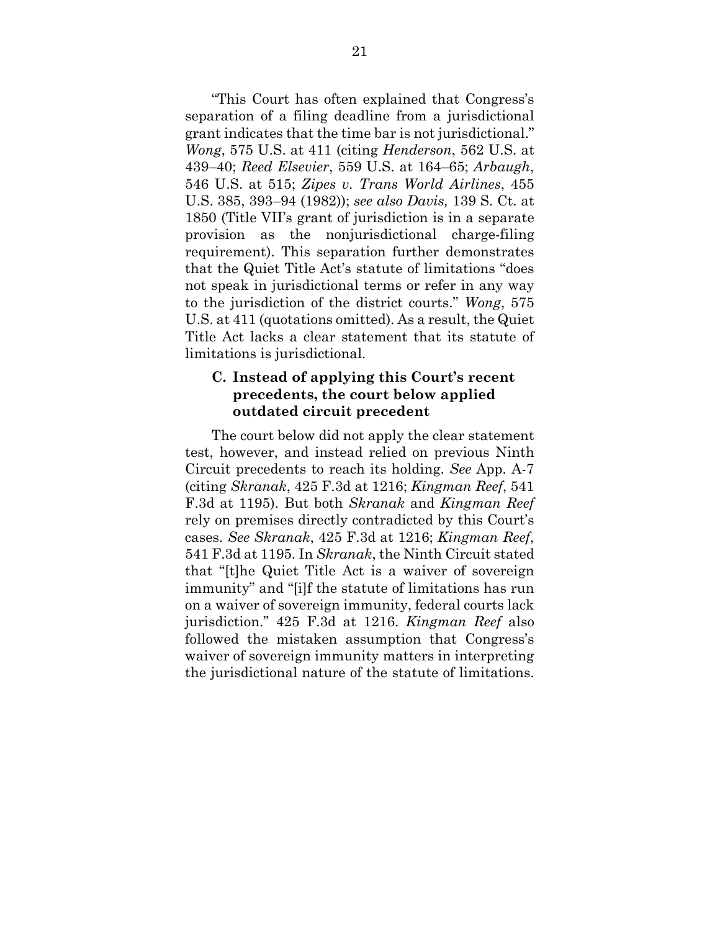"This Court has often explained that Congress's separation of a filing deadline from a jurisdictional grant indicates that the time bar is not jurisdictional." *Wong*, 575 U.S. at 411 (citing *Henderson*, 562 U.S. at 439–40; *Reed Elsevier*, 559 U.S. at 164–65; *Arbaugh*, 546 U.S. at 515; *Zipes v. Trans World Airlines*, 455 U.S. 385, 393–94 (1982)); *see also Davis,* 139 S. Ct. at 1850 (Title VII's grant of jurisdiction is in a separate provision as the nonjurisdictional charge-filing requirement). This separation further demonstrates that the Quiet Title Act's statute of limitations "does not speak in jurisdictional terms or refer in any way to the jurisdiction of the district courts." *Wong*, 575 U.S. at 411 (quotations omitted). As a result, the Quiet Title Act lacks a clear statement that its statute of limitations is jurisdictional.

### **C. Instead of applying this Court's recent precedents, the court below applied outdated circuit precedent**

The court below did not apply the clear statement test, however, and instead relied on previous Ninth Circuit precedents to reach its holding. *See* App. A-7 (citing *Skranak*, 425 F.3d at 1216; *Kingman Reef*, 541 F.3d at 1195). But both *Skranak* and *Kingman Reef*  rely on premises directly contradicted by this Court's cases. *See Skranak*, 425 F.3d at 1216; *Kingman Reef*, 541 F.3d at 1195. In *Skranak*, the Ninth Circuit stated that "[t]he Quiet Title Act is a waiver of sovereign immunity" and "[i]f the statute of limitations has run on a waiver of sovereign immunity, federal courts lack jurisdiction." 425 F.3d at 1216. *Kingman Reef* also followed the mistaken assumption that Congress's waiver of sovereign immunity matters in interpreting the jurisdictional nature of the statute of limitations.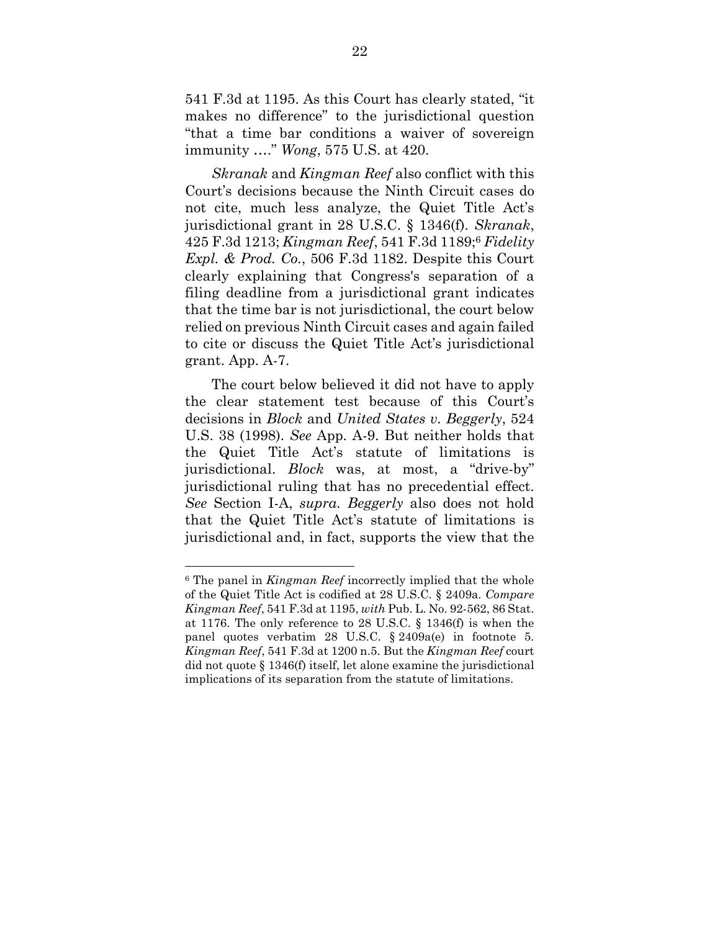541 F.3d at 1195. As this Court has clearly stated, "it makes no difference" to the jurisdictional question "that a time bar conditions a waiver of sovereign immunity …." *Wong*, 575 U.S. at 420.

*Skranak* and *Kingman Reef* also conflict with this Court's decisions because the Ninth Circuit cases do not cite, much less analyze, the Quiet Title Act's jurisdictional grant in 28 U.S.C. § 1346(f). *Skranak*, 425 F.3d 1213; *Kingman Reef*, 541 F.3d 1189;<sup>6</sup> *Fidelity Expl. & Prod. Co.*, 506 F.3d 1182. Despite this Court clearly explaining that Congress's separation of a filing deadline from a jurisdictional grant indicates that the time bar is not jurisdictional, the court below relied on previous Ninth Circuit cases and again failed to cite or discuss the Quiet Title Act's jurisdictional grant. App. A-7.

The court below believed it did not have to apply the clear statement test because of this Court's decisions in *Block* and *United States v. Beggerly*, 524 U.S. 38 (1998). *See* App. A-9. But neither holds that the Quiet Title Act's statute of limitations is jurisdictional. *Block* was, at most, a "drive-by" jurisdictional ruling that has no precedential effect. *See* Section I-A, *supra*. *Beggerly* also does not hold that the Quiet Title Act's statute of limitations is jurisdictional and, in fact, supports the view that the

<sup>6</sup> The panel in *Kingman Reef* incorrectly implied that the whole of the Quiet Title Act is codified at 28 U.S.C. § 2409a. *Compare Kingman Reef*, 541 F.3d at 1195, *with* Pub. L. No. 92-562, 86 Stat. at 1176. The only reference to 28 U.S.C. § 1346(f) is when the panel quotes verbatim 28 U.S.C. § 2409a(e) in footnote 5. *Kingman Reef*, 541 F.3d at 1200 n.5. But the *Kingman Reef* court did not quote § 1346(f) itself, let alone examine the jurisdictional implications of its separation from the statute of limitations.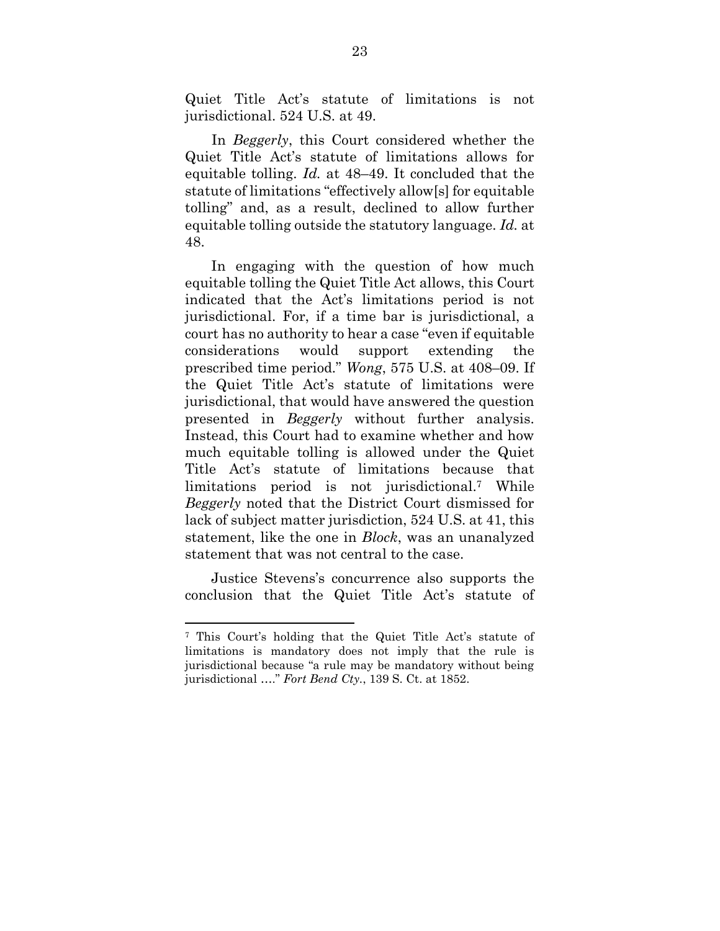Quiet Title Act's statute of limitations is not jurisdictional. 524 U.S. at 49.

In *Beggerly*, this Court considered whether the Quiet Title Act's statute of limitations allows for equitable tolling. *Id.* at 48–49. It concluded that the statute of limitations "effectively allow[s] for equitable tolling" and, as a result, declined to allow further equitable tolling outside the statutory language. *Id.* at 48.

In engaging with the question of how much equitable tolling the Quiet Title Act allows, this Court indicated that the Act's limitations period is not jurisdictional. For, if a time bar is jurisdictional, a court has no authority to hear a case "even if equitable considerations would support extending the prescribed time period." *Wong*, 575 U.S. at 408–09. If the Quiet Title Act's statute of limitations were jurisdictional, that would have answered the question presented in *Beggerly* without further analysis. Instead, this Court had to examine whether and how much equitable tolling is allowed under the Quiet Title Act's statute of limitations because that limitations period is not jurisdictional.7 While *Beggerly* noted that the District Court dismissed for lack of subject matter jurisdiction, 524 U.S. at 41, this statement, like the one in *Block*, was an unanalyzed statement that was not central to the case.

Justice Stevens's concurrence also supports the conclusion that the Quiet Title Act's statute of

<sup>7</sup> This Court's holding that the Quiet Title Act's statute of limitations is mandatory does not imply that the rule is jurisdictional because "a rule may be mandatory without being jurisdictional …." *Fort Bend Cty.*, 139 S. Ct. at 1852.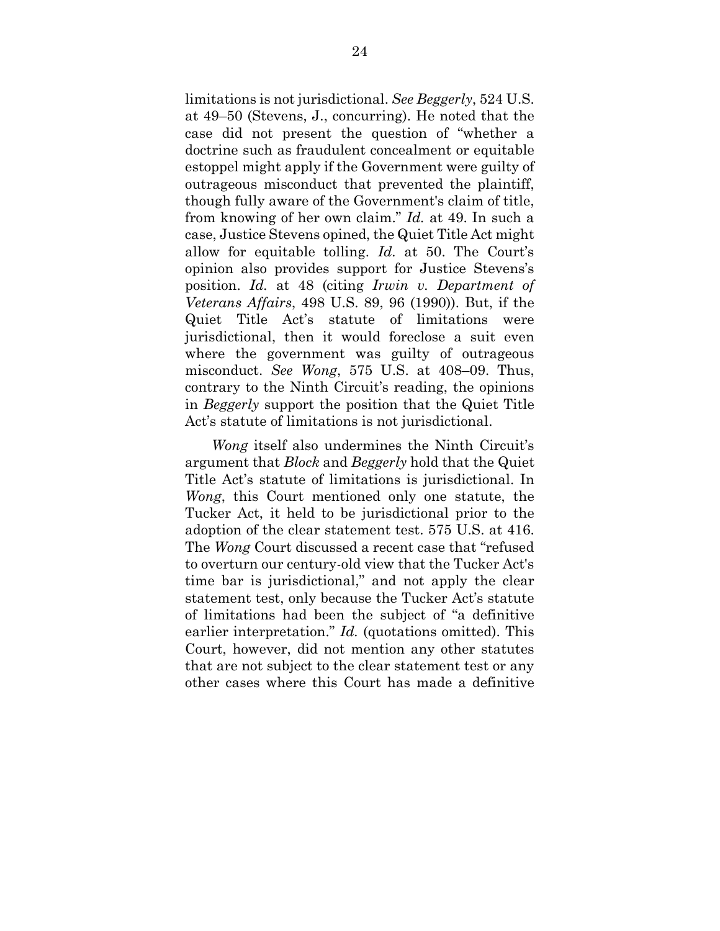limitations is not jurisdictional. *See Beggerly*, 524 U.S. at 49–50 (Stevens, J., concurring). He noted that the case did not present the question of "whether a doctrine such as fraudulent concealment or equitable estoppel might apply if the Government were guilty of outrageous misconduct that prevented the plaintiff, though fully aware of the Government's claim of title, from knowing of her own claim." *Id.* at 49. In such a case, Justice Stevens opined, the Quiet Title Act might allow for equitable tolling. *Id.* at 50. The Court's opinion also provides support for Justice Stevens's position. *Id.* at 48 (citing *Irwin v. Department of Veterans Affairs*, 498 U.S. 89, 96 (1990)). But, if the Quiet Title Act's statute of limitations were jurisdictional, then it would foreclose a suit even where the government was guilty of outrageous misconduct. *See Wong*, 575 U.S. at 408–09. Thus, contrary to the Ninth Circuit's reading, the opinions in *Beggerly* support the position that the Quiet Title Act's statute of limitations is not jurisdictional.

*Wong* itself also undermines the Ninth Circuit's argument that *Block* and *Beggerly* hold that the Quiet Title Act's statute of limitations is jurisdictional. In *Wong*, this Court mentioned only one statute, the Tucker Act, it held to be jurisdictional prior to the adoption of the clear statement test. 575 U.S. at 416. The *Wong* Court discussed a recent case that "refused to overturn our century-old view that the Tucker Act's time bar is jurisdictional," and not apply the clear statement test, only because the Tucker Act's statute of limitations had been the subject of "a definitive earlier interpretation." *Id.* (quotations omitted). This Court, however, did not mention any other statutes that are not subject to the clear statement test or any other cases where this Court has made a definitive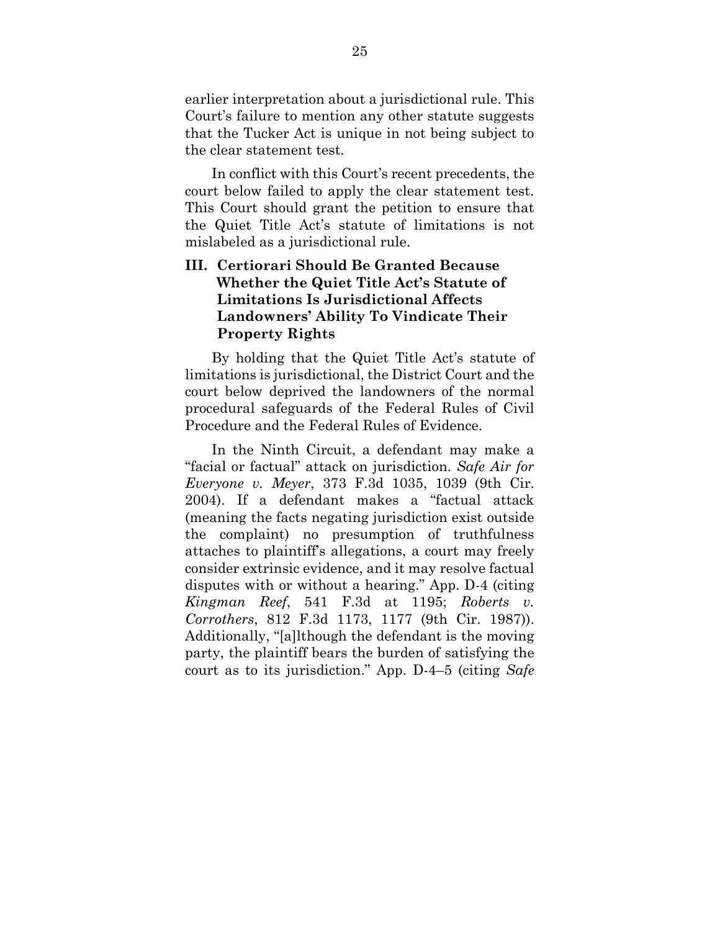earlier interpretation about a jurisdictional rule. This Court's failure to mention any other statute suggests that the Tucker Act is unique in not being subject to the clear statement test.

In conflict with this Court's recent precedents, the court below failed to apply the clear statement test. This Court should grant the petition to ensure that the Quiet Title Act's statute of limitations is not mislabeled as a jurisdictional rule.

## **III. Certiorari Should Be Granted Because Whether the Quiet Title Act's Statute of Limitations Is Jurisdictional Affects Landowners' Ability To Vindicate Their Property Rights**

By holding that the Quiet Title Act's statute of limitations is jurisdictional, the District Court and the court below deprived the landowners of the normal procedural safeguards of the Federal Rules of Civil Procedure and the Federal Rules of Evidence.

In the Ninth Circuit, a defendant may make a "facial or factual" attack on jurisdiction. *Safe Air for Everyone v. Meyer*, 373 F.3d 1035, 1039 (9th Cir. 2004). If a defendant makes a "factual attack (meaning the facts negating jurisdiction exist outside the complaint) no presumption of truthfulness attaches to plaintiff's allegations, a court may freely consider extrinsic evidence, and it may resolve factual disputes with or without a hearing." App. D-4 (citing *Kingman Reef*, 541 F.3d at 1195; *Roberts v. Corrothers*, 812 F.3d 1173, 1177 (9th Cir. 1987)). Additionally, "[a]lthough the defendant is the moving party, the plaintiff bears the burden of satisfying the court as to its jurisdiction." App. D-4–5 (citing *Safe*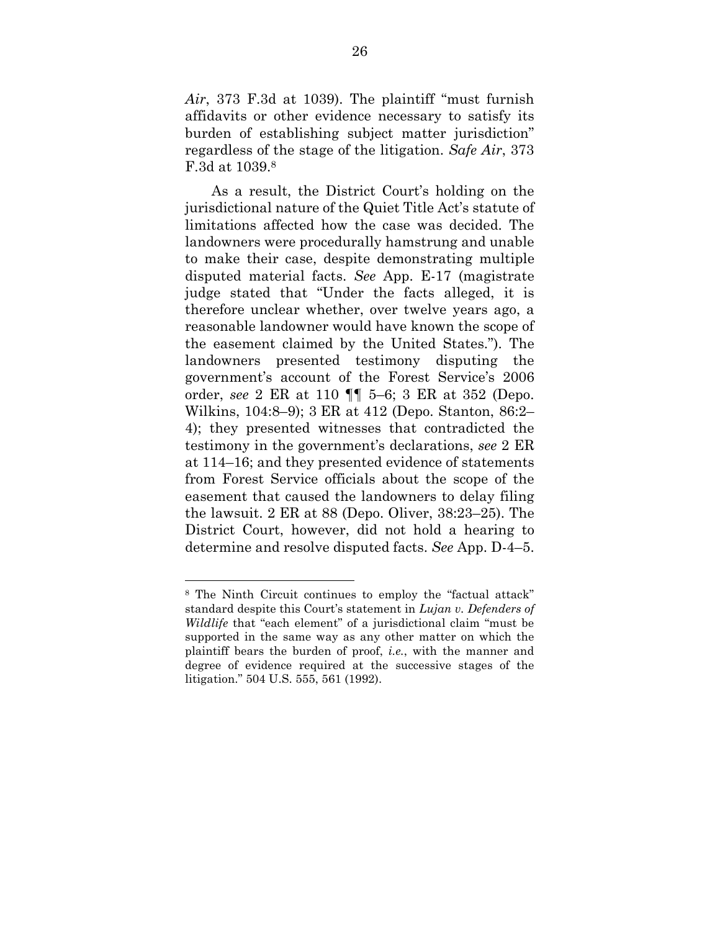*Air*, 373 F.3d at 1039). The plaintiff "must furnish affidavits or other evidence necessary to satisfy its burden of establishing subject matter jurisdiction" regardless of the stage of the litigation. *Safe Air*, 373 F.3d at 1039.<sup>8</sup>

As a result, the District Court's holding on the jurisdictional nature of the Quiet Title Act's statute of limitations affected how the case was decided. The landowners were procedurally hamstrung and unable to make their case, despite demonstrating multiple disputed material facts. *See* App. E-17 (magistrate judge stated that "Under the facts alleged, it is therefore unclear whether, over twelve years ago, a reasonable landowner would have known the scope of the easement claimed by the United States."). The landowners presented testimony disputing the government's account of the Forest Service's 2006 order, *see* 2 ER at 110 ¶¶ 5–6; 3 ER at 352 (Depo. Wilkins, 104:8–9); 3 ER at 412 (Depo. Stanton, 86:2– 4); they presented witnesses that contradicted the testimony in the government's declarations, *see* 2 ER at 114–16; and they presented evidence of statements from Forest Service officials about the scope of the easement that caused the landowners to delay filing the lawsuit. 2 ER at 88 (Depo. Oliver, 38:23–25). The District Court, however, did not hold a hearing to determine and resolve disputed facts. *See* App. D-4–5.

<sup>8</sup> The Ninth Circuit continues to employ the "factual attack" standard despite this Court's statement in *Lujan v. Defenders of Wildlife* that "each element" of a jurisdictional claim "must be supported in the same way as any other matter on which the plaintiff bears the burden of proof, *i.e.*, with the manner and degree of evidence required at the successive stages of the litigation." 504 U.S. 555, 561 (1992).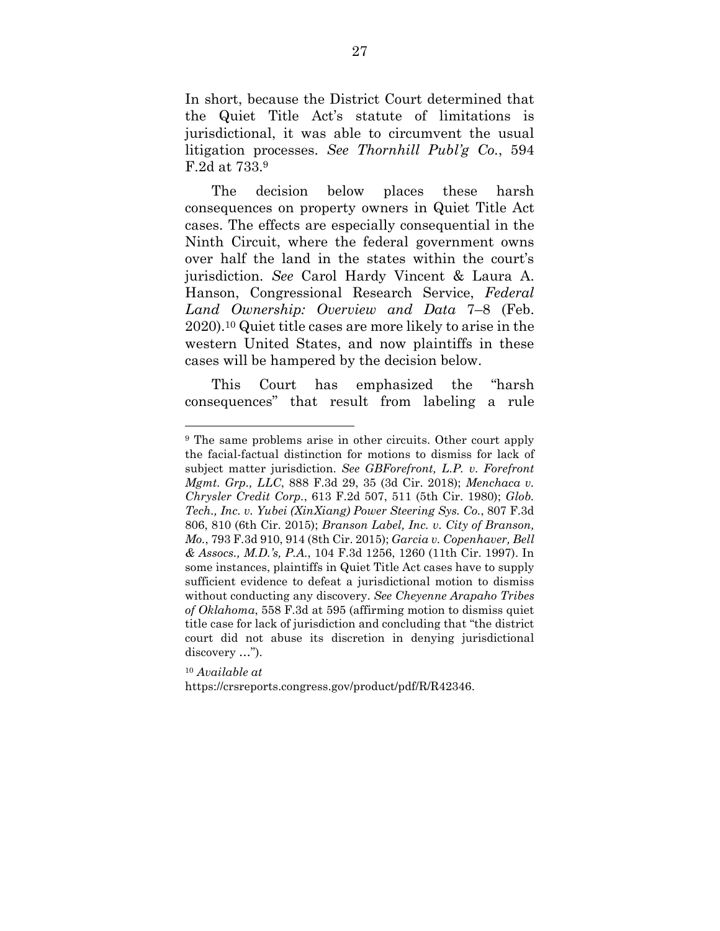In short, because the District Court determined that the Quiet Title Act's statute of limitations is jurisdictional, it was able to circumvent the usual litigation processes. *See Thornhill Publ'g Co.*, 594 F.2d at 733.<sup>9</sup>

The decision below places these harsh consequences on property owners in Quiet Title Act cases. The effects are especially consequential in the Ninth Circuit, where the federal government owns over half the land in the states within the court's jurisdiction. *See* Carol Hardy Vincent & Laura A. Hanson, Congressional Research Service, *Federal Land Ownership: Overview and Data* 7–8 (Feb. 2020).10 Quiet title cases are more likely to arise in the western United States, and now plaintiffs in these cases will be hampered by the decision below.

This Court has emphasized the "harsh consequences" that result from labeling a rule

<sup>10</sup> *Available at* 

https://crsreports.congress.gov/product/pdf/R/R42346.

<sup>9</sup> The same problems arise in other circuits. Other court apply the facial-factual distinction for motions to dismiss for lack of subject matter jurisdiction. *See GBForefront, L.P. v. Forefront Mgmt. Grp., LLC*, 888 F.3d 29, 35 (3d Cir. 2018); *Menchaca v. Chrysler Credit Corp.*, 613 F.2d 507, 511 (5th Cir. 1980); *Glob. Tech., Inc. v. Yubei (XinXiang) Power Steering Sys. Co.*, 807 F.3d 806, 810 (6th Cir. 2015); *Branson Label, Inc. v. City of Branson, Mo.*, 793 F.3d 910, 914 (8th Cir. 2015); *Garcia v. Copenhaver, Bell & Assocs., M.D.'s, P.A.*, 104 F.3d 1256, 1260 (11th Cir. 1997). In some instances, plaintiffs in Quiet Title Act cases have to supply sufficient evidence to defeat a jurisdictional motion to dismiss without conducting any discovery. *See Cheyenne Arapaho Tribes of Oklahoma*, 558 F.3d at 595 (affirming motion to dismiss quiet title case for lack of jurisdiction and concluding that "the district court did not abuse its discretion in denying jurisdictional discovery …").